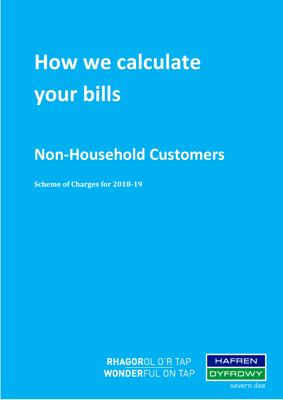# **How we calculate your bills**

# **Non-Household Customers**

**Scheme of Charges for 2018-19**



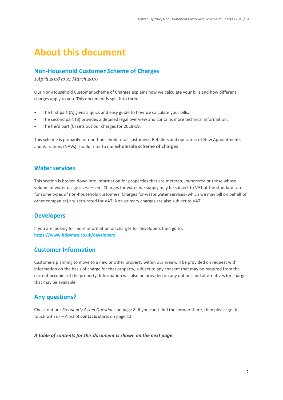## <span id="page-1-0"></span>**About this document**

### <span id="page-1-1"></span>**Non-Household Customer Scheme of Charges**

*1 April 2018 to 31 March 2019*

Our Non-Household Customer Scheme of Charges explains how we calculate your bills and how different charges apply to you. This document is spilt into three:

- The first part (A) gives a quick and easy guide to how we calculate your bills.
- The second part (B) provides a detailed legal overview and contains more technical information.
- The third part (C) sets out our charges for 2018-19.

This scheme is primarily for non-household retail customers. Retailers and operators of New Appointments and Variations (NAVs) should refer to our **[wholesale scheme of charges](https://www.stwater.co.uk/businesses/wholesale-charges/tariffs-and-charges/)**.

#### **Water services**

This section is broken down into information for properties that are *metered, unmetered* or those whose volume of water usage is *assessed*. Charges for water we supply may be subject to VAT at the standard rate for some types of non-household customers. Charges for waste water services (which we may bill on behalf of other companies) are zero-rated for VAT. Non-primary charges are also subject to VAT.

### **Developers**

If you are looking for more information on charges for developers then go to: **https://www.hdcymru.co.uk/developers**

### **Customer Information**

Customers planning to move to a new or other property within our area will be provided on request with information on the basis of charge for that property, subject to any consent that may be required from the current occupier of the property. Information will also be provided on any options and alternatives for charges that may be available.

### <span id="page-1-2"></span>**Any questions?**

Check out our *Frequently Asked Questions* on page 8. If you can't find the answer there, then please get in touch with us – A list of **contacts s**tarts on page 13.

*A table of contents for this document is shown on the next page.*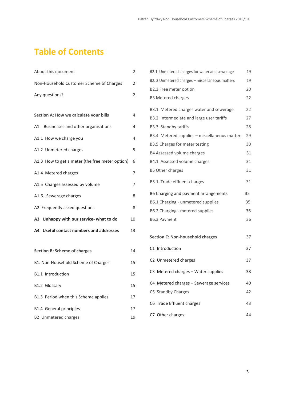# **Table of Contents**

| About this document                             | $\overline{2}$ |
|-------------------------------------------------|----------------|
| Non-Household Customer Scheme of Charges        | 2              |
| Any questions?                                  | 2              |
|                                                 |                |
| Section A: How we calculate your bills          | 4              |
| A1 Businesses and other organisations           | 4              |
| A1.1 How we charge you                          | 4              |
| A1.2 Unmetered charges                          | 5              |
| A1.3 How to get a meter (the free meter option) | 6              |
| A1.4 Metered charges                            | 7              |
| A1.5 Charges assessed by volume                 | 7              |
| A1.6. Sewerage charges                          | 8              |
| A2 Frequently asked questions                   | 8              |
| A3 Unhappy with our service- what to do         | 10             |
| A4 Useful contact numbers and addresses         | 13             |
|                                                 |                |
| <b>Section B: Scheme of charges</b>             | 14             |
| B1. Non-Household Scheme of Charges             | 15             |
| B1.1 Introduction                               | 15             |
| B1.2 Glossary                                   | 15             |
| B1.3 Period when this Scheme applies            | 17             |
| <b>B1.4 General principles</b>                  | 17             |
| <b>B2</b> Unmetered charges                     | 19             |

| B2.1 Unmetered charges for water and sewerage   | 19 |
|-------------------------------------------------|----|
| B2. 2 Unmetered charges - miscellaneous matters | 19 |
| B2.3 Free meter option                          | 20 |
| <b>B3 Metered charges</b>                       | 22 |
| B3.1 Metered charges water and sewerage         | 22 |
| B3.2 Intermediate and large user tariffs        | 27 |
| B3.3 Standby tariffs                            | 28 |
| B3.4 Metered supplies - miscellaneous matters   | 29 |
| B3.5 Charges for meter testing                  | 30 |
| B4 Assessed volume charges                      | 31 |
| B4.1 Assessed volume charges                    | 31 |
| <b>B5 Other charges</b>                         | 31 |
| B5.1 Trade effluent charges                     | 31 |
| B6 Charging and payment arrangements            | 35 |
| B6.1 Charging - unmetered supplies              | 35 |
| B6.2 Charging - metered supplies                | 36 |
| B6.3 Payment                                    | 36 |
|                                                 |    |
| <b>Section C: Non-household charges</b>         | 37 |
| C1 Introduction                                 | 37 |
| C2 Unmetered charges                            | 37 |
| C3 Metered charges - Water supplies             | 38 |
| C4 Metered charges - Sewerage services          | 40 |
| C5 Standby Charges                              | 42 |
| C6 Trade Effluent charges                       | 43 |
| C7 Other charges                                | 44 |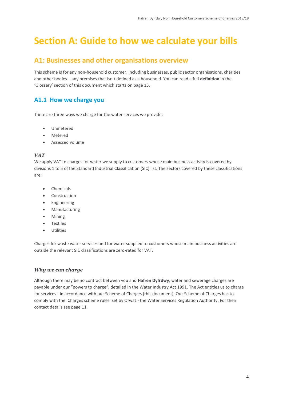# <span id="page-3-0"></span>**Section A: Guide to how we calculate your bills**

### <span id="page-3-1"></span>**A1: Businesses and other organisations overview**

This scheme is for any non-household customer, including businesses, public sector organisations, charities and other bodies – any premises that isn't defined as a household. You can read a full **definition** in the 'Glossary' section of this document which starts on page 15.

### <span id="page-3-2"></span>**A1.1 How we charge you**

There are three ways we charge for the water services we provide:

- Unmetered
- Metered
- Assessed volume

#### *VAT*

We apply VAT to charges for water we supply to customers whose main business activity is covered by divisions 1 to 5 of the Standard Industrial Classification (SIC) list. The sectors covered by these classifications are:

- Chemicals
- Construction
- Engineering
- Manufacturing
- Mining
- Textiles
- Utilities

Charges for waste water services and for water supplied to customers whose main business activities are outside the relevant SIC classifications are zero-rated for VAT.

#### *Why we can charge*

Although there may be no contract between you and **Hafren Dyfrdwy**, water and sewerage charges are payable under our "powers to charge", detailed in the Water Industry Act 1991. The Act entitles us to charge for services - in accordance with our Scheme of Charges (this document). Our Scheme of Charges has to comply with the 'Charges scheme rules' set by Ofwat - the Water Services Regulation Authority. For their contact details see page 11.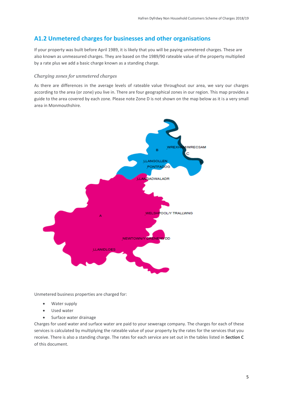### <span id="page-4-0"></span>**A1.2 Unmetered charges for businesses and other organisations**

If your property was built before April 1989, it is likely that you will be paying unmetered charges. These are also known as unmeasured charges. They are based on the 1989/90 rateable value of the property multiplied by a rate plus we add a basic charge known as a standing charge.

#### *Charging zones for unmetered charges*

As there are differences in the average levels of rateable value throughout our area, we vary our charges according to the area (or zone) you live in. There are four geographical zones in our region. This map provides a guide to the area covered by each zone. Please note Zone D is not shown on the map below as it is a very small area in Monmouthshire.



Unmetered business properties are charged for:

- Water supply
- Used water
- Surface water drainage

Charges for used water and surface water are paid to your sewerage company. The charges for each of these services is calculated by multiplying the rateable value of your property by the rates for the services that you receive. There is also a standing charge. The rates for each service are set out in the tables listed in **Section C** of this document.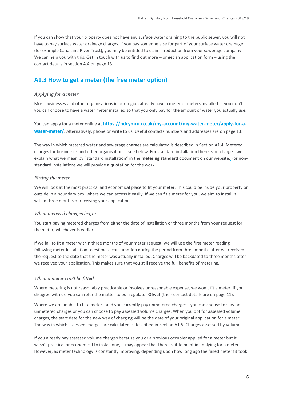If you can show that your property does not have any surface water draining to the public sewer, you will not have to pay surface water drainage charges. If you pay someone else for part of your surface water drainage (for example Canal and River Trust), you may be entitled to claim a reduction from your sewerage company. We can help you with this. Get in touch with us to find out more – or get an application form – using the contact details in section A.4 on page 13.

### <span id="page-5-0"></span>**A1.3 How to get a meter (the free meter option)**

#### *Applying for a meter*

Most businesses and other organisations in our region already have a meter or meters installed. If you don't, you can choose to have a water meter installed so that you only pay for the amount of water you actually use.

You can apply for a meter online at **https://hdcymru.co.uk/my-account/my-water-meter/apply-for-awater-meter/**. Alternatively, phone or write to us. Useful contacts numbers and addresses are on page 13.

The way in which metered water and sewerage charges are calculated is described in Section A1.4: Metered charges for businesses and other organisations - see below. For standard installation there is no charge - we explain what we mean by "standard installation" in the **[metering standard](https://www.stwater.co.uk/businesses/retailers/)** document on our website. For nonstandard installations we will provide a quotation for the work.

#### *Fitting the meter*

We will look at the most practical and economical place to fit your meter. This could be inside your property or outside in a boundary box, where we can access it easily. If we can fit a meter for you, we aim to install it within three months of receiving your application.

#### *When metered charges begin*

You start paying metered charges from either the date of installation or three months from your request for the meter, whichever is earlier.

If we fail to fit a meter within three months of your meter request, we will use the first meter reading following meter installation to estimate consumption during the period from three months after we received the request to the date that the meter was actually installed. Charges will be backdated to three months after we received your application*.* This makes sure that you still receive the full benefits of metering.

#### *When a meter can't be fitted*

Where metering is not reasonably practicable or involves unreasonable expense, we won't fit a meter. If you disagree with us, you can refer the matter to our regulator **Ofwat** (their contact details are on page 11).

Where we are unable to fit a meter - and you currently pay unmetered charges - you can choose to stay on unmetered charges or you can choose to pay assessed volume charges. When you opt for assessed volume charges, the start date for the new way of charging will be the date of your original application for a meter. The way in which assessed charges are calculated is described in Section A1.5: Charges assessed by volume.

If you already pay assessed volume charges because you or a previous occupier applied for a meter but it wasn't practical or economical to install one, it may appear that there is little point in applying for a meter. However, as meter technology is constantly improving, depending upon how long ago the failed meter fit took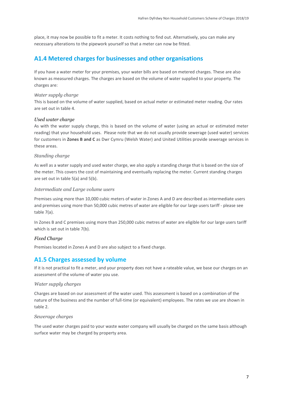place, it may now be possible to fit a meter. It costs nothing to find out. Alternatively, you can make any necessary alterations to the pipework yourself so that a meter can now be fitted.

### <span id="page-6-0"></span>**A1.4 Metered charges for businesses and other organisations**

If you have a water meter for your premises, your water bills are based on metered charges. These are also known as measured charges. The charges are based on the volume of water supplied to your property. The charges are:

#### *Water supply charge*

This is based on the volume of water supplied, based on actual meter or estimated meter reading. Our rates are set out in table 4.

#### *Used water charge*

As with the water supply charge, this is based on the volume of water (using an actual or estimated meter reading) that your household uses. Please note that we do not usually provide sewerage (used water) services for customers in **Zones B and C** as Dwr Cymru (Welsh Water) and United Utilities provide sewerage services in these areas.

#### *Standing charge*

As well as a water supply and used water charge, we also apply a standing charge that is based on the size of the meter. This covers the cost of maintaining and eventually replacing the meter. Current standing charges are set out in table 5(a) and 5(b).

#### *Intermediate and Large volume users*

Premises using more than 10,000 cubic meters of water in Zones A and D are described as intermediate users and premises using more than 50,000 cubic metres of water are eligible for our large users tariff - please see table 7(a).

In Zones B and C premises using more than 250,000 cubic metres of water are eligible for our large users tariff which is set out in table 7(b).

#### *Fixed Charge*

Premises located in Zones A and D are also subject to a fixed charge.

### <span id="page-6-1"></span>**A1.5 Charges assessed by volume**

If it is not practical to fit a meter, and your property does not have a rateable value, we base our charges on an assessment of the volume of water you use.

#### *Water supply charges*

Charges are based on our assessment of the water used. This assessment is based on a combination of the nature of the business and the number of full-time (or equivalent) employees. The rates we use are shown in table 2.

#### *Sewerage charges*

The used water charges paid to your waste water company will usually be charged on the same basis although surface water may be charged by property area.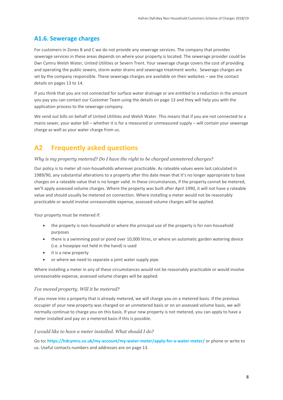### <span id="page-7-0"></span>**A1.6. Sewerage charges**

For customers in Zones B and C we do not provide any sewerage services. The company that provides sewerage services in these areas depends on where your property is located. The sewerage provider could be Dwr Cymru Welsh Water, United Utilities or Severn Trent. Your sewerage charge covers the cost of providing and operating the public sewers, storm water drains and sewerage treatment works. Sewerage charges are set by the company responsible. These sewerage charges are available on their websites – see the contact details on pages 13 to 14.

If you think that you are not connected for surface water drainage or are entitled to a reduction in the amount you pay you can contact our Customer Team using the details on page [13](#page-11-0) and they will help you with the application process to the sewerage company.

We send out bills on behalf of United Utilities and Welsh Water. This means that if you are not connected to a mains sewer, your water bill – whether it is for a measured or unmeasured supply – will contain your sewerage charge as well as your water charge from us.

### <span id="page-7-1"></span>**A2 Frequently asked questions**

#### *Why is my property metered? Do I have the right to be charged unmetered charges?*

Our policy is to meter all non-households wherever practicable. As rateable values were last calculated in 1989/90, any substantial alterations to a property after this date mean that it's no longer appropriate to base charges on a rateable value that is no longer valid. In these circumstances, if the property cannot be metered, we'll apply assessed volume charges. Where the property was built after April 1990, it will not have a rateable value and should usually be metered on connection. Where installing a meter would not be reasonably practicable or would involve unreasonable expense, assessed volume charges will be applied.

Your property must be metered if:

- the property is non-household or where the principal use of the property is for non-household purposes
- there is a swimming pool or pond over 10,000 litres, or where an automatic garden watering device (i.e. a hosepipe not held in the hand) is used
- it is a new property
- or where we need to separate a joint water supply pipe.

Where installing a meter in any of these circumstances would not be reasonably practicable or would involve unreasonable expense, assessed volume charges will be applied.

#### *I've moved property. Will it be metered?*

If you move into a property that is already metered, we will charge you on a metered basis. If the previous occupier of your new property was charged on an unmetered basis or on an assessed volume basis, we will normally continue to charge you on this basis. If your new property is not metered, you can apply to have a meter installed and pay on a metered basis if this is possible.

#### *I would like to have a meter installed. What should I do?*

Go to**: <https://hdcymru.co.uk/my-account/my-water-meter/apply-for-a-water-meter/>** or phone or write to us. Useful contacts numbers and addresses are on page 13.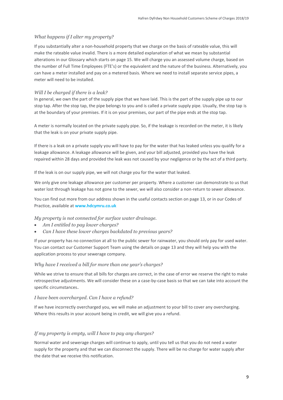#### *What happens if I alter my property?*

If you substantially alter a non-household property that we charge on the basis of rateable value, this will make the rateable value invalid. There is a more detailed explanation of what we mean by substantial alterations in our Glossary which starts on page 15. We will charge you an assessed volume charge, based on the number of Full Time Employees (FTE's) or the equivalent and the nature of the business. Alternatively, you can have a meter installed and pay on a metered basis. Where we need to install separate service pipes, a meter will need to be installed.

#### *Will I be charged if there is a leak?*

In general, we own the part of the supply pipe that we have laid. This is the part of the supply pipe up to our stop tap. After the stop tap, the pipe belongs to you and is called a private supply pipe. Usually, the stop tap is at the boundary of your premises. If it is on your premises, our part of the pipe ends at the stop tap.

A meter is normally located on the private supply pipe. So, if the leakage is recorded on the meter, it is likely that the leak is on your private supply pipe.

If there is a leak on a private supply you will have to pay for the water that has leaked unless you qualify for a leakage allowance. A leakage allowance will be given, and your bill adjusted, provided you have the leak repaired within 28 days and provided the leak was not caused by your negligence or by the act of a third party.

If the leak is on our supply pipe, we will not charge you for the water that leaked.

We only give one leakage allowance per customer per property. Where a customer can demonstrate to us that water lost through leakage has not gone to the sewer, we will also consider a non-return to sewer allowance.

You can find out more from our address shown in the useful contacts section on page 13, or in our Codes of Practice, available at **www.hdcymru.co.uk**

*My property is not connected for surface water drainage.*

- *Am I entitled to pay lower charges?*
- *Can I have these lower charges backdated to previous years?*

If your property has no connection at all to the public sewer for rainwater, you should only pay for used water. You can contact our Customer Support Team using the details on page [13](#page-11-0) and they will help you with the application process to your sewerage company.

#### *Why have I received a bill for more than one year's charges?*

While we strive to ensure that all bills for charges are correct, in the case of error we reserve the right to make retrospective adjustments. We will consider these on a case-by-case basis so that we can take into account the specific circumstances.

#### *I have been overcharged. Can I have a refund?*

If we have incorrectly overcharged you, we will make an adjustment to your bill to cover any overcharging. Where this results in your account being in credit, we will give you a refund.

#### *If my property is empty, will I have to pay any charges?*

Normal water and sewerage charges will continue to apply, until you tell us that you do not need a water supply for the property and that we can disconnect the supply. There will be no charge for water supply after the date that we receive this notification.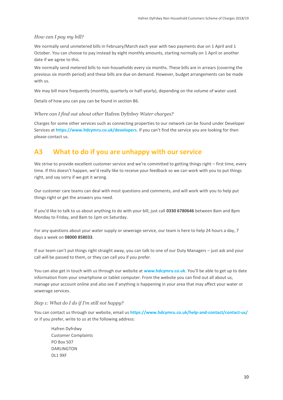#### *How can I pay my bill?*

We normally send unmetered bills in February/March each year with two payments due on 1 April and 1 October. You can choose to pay instead by eight monthly amounts, starting normally on 1 April or another date if we agree to this.

We normally send metered bills to non-households every six months. These bills are in arrears (covering the previous six month period) and these bills are due on demand. However, budget arrangements can be made with us.

We may bill more frequently (monthly, quarterly or half-yearly), depending on the volume of water used.

Details of how you can pay can be found in section B6.

#### *Where can I find out about other* Hafren Dyfrdwy *Water charges?*

Charges for some other services such as connecting properties to our network can be found under Developer Services at **https://www.hdcymru.co.uk/developers**. If you can't find the service you are looking for then please contact us.

### <span id="page-9-0"></span>**A3 What to do if you are unhappy with our service**

We strive to provide excellent customer service and we're committed to getting things right – first time, every time. If this doesn't happen, we'd really like to receive your feedback so we can work with you to put things right, and say sorry if we got it wrong.

Our customer care teams can deal with most questions and comments, and will work with you to help put things right or get the answers you need.

If you'd like to talk to us about anything to do with your bill, just call **0330 6780646** between 8am and 8pm Monday to Friday, and 8am to 1pm on Saturday.

For any questions about your water supply or sewerage service, our team is here to help 24 hours a day, 7 days a week on **08000 858033**.

If our team can't put things right straight away, you can talk to one of our Duty Managers – just ask and your call will be passed to them, or they can call you if you prefer.

You can also get in touch with us through our website at **www.hdcymru.co.uk**. You'll be able to get up to date information from your smartphone or tablet computer. From the website you can find out all about us, manage your account online and also see if anything is happening in your area that may affect your water or sewerage services.

#### *Step 1: What do I do if I'm still not happy?*

You can contact us through our website, email us **<https://www.hdcymru.co.uk/help-and-contact/contact-us/>** or if you prefer, write to us at the following address:

Hafren Dyfrdwy Customer Complaints PO Box 507 **DARLINGTON** DL1 9XF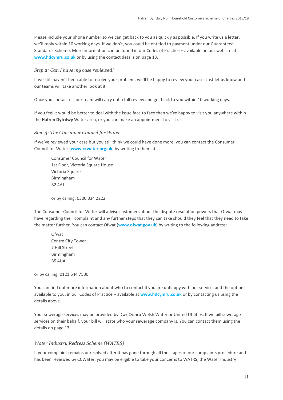Please include your phone number so we can get back to you as quickly as possible. If you write us a letter, we'll reply within 10 working days. If we don't, you could be entitled to payment under our Guaranteed Standards Scheme. More information can be found in our Codes of Practice – available on our website at **www.hdcymru.co.uk** or by using the contact details on page 13.

#### *Step 2: Can I have my case reviewed?*

If we still haven't been able to resolve your problem, we'll be happy to review your case. Just let us know and our teams will take another look at it.

Once you contact us, our team will carry out a full review and get back to you within 10 working days.

If you feel it would be better to deal with the issue face to face then we're happy to visit you anywhere within the **Hafren Dyfrdwy** Water area, or you can make an appointment to visit us.

*Step 3: The Consumer Council for Water*

If we've reviewed your case but you still think we could have done more, you can contact the Consumer Council for Water (**[www.ccwater.org.uk](http://www.ccwater.org.uk/)**) by writing to them at:

Consumer Council for Water 1st Floor, Victoria Square House Victoria Square Birmingham B2 4AJ

or by calling: 0300 034 2222

The Consumer Council for Water will advise customers about the dispute resolution powers that Ofwat may have regarding their complaint and any further steps that they can take should they feel that they need to take the matter further. You can contact Ofwat (**[www.ofwat.gov.uk](http://www.ofwat.gov.uk/)**) by writing to the following address:

Ofwat Centre City Tower 7 Hill Street Birmingham B5 4UA

or by calling: 0121 644 7500

You can find out more information about who to contact if you are unhappy with our service, and the options available to you, in our Codes of Practice – available at **www.hdcymru.co.uk** or by contacting us using the details above.

Your sewerage services may be provided by Dwr Cymru Welsh Water or United Utilities. If we bill sewerage services on their behalf, your bill will state who your sewerage company is. You can contact them using the details on page [13.](#page-11-0)

#### *Water Industry Redress Scheme (WATRS)*

If your complaint remains unresolved after it has gone through all the stages of our complaints procedure and has been reviewed by CCWater, you may be eligible to take your concerns to WATRS, the Water Industry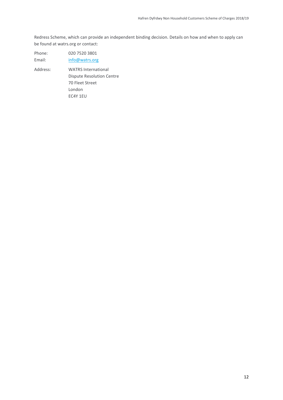Redress Scheme, which can provide an independent binding decision. Details on how and when to apply can be found at watrs.org or contact:

| Phone: | 020 7520 3801  |
|--------|----------------|
| Email: | info@watrs.org |

<span id="page-11-0"></span>Address: WATRS International Dispute Resolution Centre 70 Fleet Street London EC4Y 1EU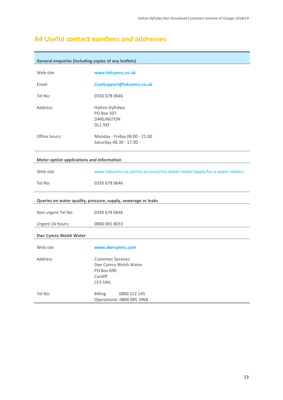### <span id="page-12-0"></span>**A4 Useful contact numbers and addresses**

| <b>General enquiries (including copies of any leaflets)</b> |                                                                                       |
|-------------------------------------------------------------|---------------------------------------------------------------------------------------|
| Web-site                                                    | www.hdcymru.co.uk                                                                     |
| Email                                                       | CustSupport@hdcymru.co.uk                                                             |
| Tel No:                                                     | 0330 678 0646                                                                         |
| Address:                                                    | Hafren Dyfrdwy<br>PO Box 507<br><b>DARLINGTON</b><br>DL1 9XF                          |
| Office hours:                                               | Monday - Friday 08.00 - 21.00<br>Saturday 08.30 - 17.30                               |
| <b>Meter option applications and Information</b>            |                                                                                       |
| Web-site                                                    | www.hdcymru.co.uk/my-account/my-water-meter/apply-for-a-water-meter/                  |
| Tel No:                                                     | 0330 678 0646                                                                         |
|                                                             | Queries on water quality, pressure, supply, sewerage or leaks                         |
| Non urgent Tel No:                                          | 0330 678 0646                                                                         |
| Urgent 24 hours:                                            | 0800 085 8033                                                                         |
| Dwr Cymru Welsh Water                                       |                                                                                       |
| Web site                                                    | www.dwrcymru.com                                                                      |
| Address                                                     | <b>Customer Services</b><br>Dwr Cymru Welsh Water<br>PO Box 690<br>Cardiff<br>CF3 5WL |
| Tel No:                                                     | <b>Billing</b><br>0800 152 145<br>Operational 0800 085 3968                           |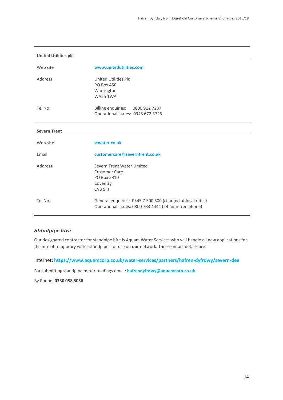| <b>United Utilities plc</b> |                                                                                                      |
|-----------------------------|------------------------------------------------------------------------------------------------------|
| Web site                    | www.unitedutilities.com                                                                              |
| Address                     | United Utilities Plc<br><b>PO Box 450</b><br>Warrington<br><b>WA55 1WA</b>                           |
| Tel No:                     | <b>Billing enquiries:</b><br>0800 912 7237<br>Operational issues: 0345 672 3725                      |
| <b>Severn Trent</b>         |                                                                                                      |
|                             |                                                                                                      |
| Web-site                    | stwater.co.uk                                                                                        |
| Email                       | customercare@severntrent.co.uk                                                                       |
| Address:                    | Severn Trent Water Limited<br><b>Customer Care</b><br>PO Box 5310<br>Coventry<br>CV <sub>3</sub> 9FJ |

#### *Standpipe hire*

<span id="page-13-0"></span>Our designated contractor for standpipe hire is Aquam Water Services who will handle all new applications for the hire of temporary water standpipes for use on **our** network. Their contact details are:

Internet: **<https://www.aquamcorp.co.uk/water-services/partners/hafren-dyfrdwy/severn-dee>** 

For submitting standpipe meter readings email: **[hafrendyfrdwy@aquamcorp.co.uk](mailto:hafrendyfrdwy@aquamcorp.co.uk)**

By Phone: **0330 058 5038**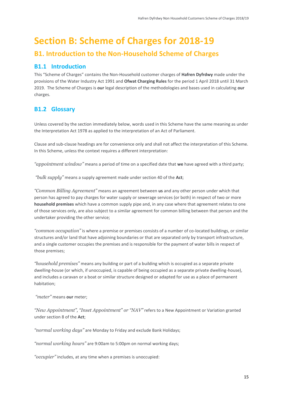# **Section B: Scheme of Charges for 2018-19**

### <span id="page-14-0"></span>**B1. Introduction to the Non-Household Scheme of Charges**

### <span id="page-14-1"></span>**B1.1 Introduction**

This "Scheme of Charges" contains the Non-Household customer charges of **Hafren Dyfrdwy** made under the provisions of the Water Industry Act 1991 and **Ofwat Charging Rules** for the period 1 April 2018 until 31 March 2019. The Scheme of Charges is **our** legal description of the methodologies and bases used in calculating **our** charges.

### <span id="page-14-2"></span>**B1.2 Glossary**

Unless covered by the section immediately below, words used in this Scheme have the same meaning as under the Interpretation Act 1978 as applied to the interpretation of an Act of Parliament.

Clause and sub-clause headings are for convenience only and shall not affect the interpretation of this Scheme. In this Scheme, unless the context requires a different interpretation:

*"appointment window"* means a period of time on a specified date that **we** have agreed with a third party;

*"bulk supply"* means a supply agreement made under section 40 of the **Act**;

*"Common Billing Agreement"* means an agreement between **us** and any other person under which that person has agreed to pay charges for water supply or sewerage services (or both) in respect of two or more **household premises** which have a common supply pipe and, in any case where that agreement relates to one of those services only, are also subject to a similar agreement for common billing between that person and the undertaker providing the other service;

*"common occupation"* is where a premise or premises consists of a number of co-located buildings, or similar structures and/or land that have adjoining boundaries or that are separated only by transport infrastructure, and a single customer occupies the premises and is responsible for the payment of water bills in respect of those premises;

*"household premises"* means any building or part of a building which is occupied as a separate private dwelling-house (or which, if unoccupied, is capable of being occupied as a separate private dwelling-house), and includes a caravan or a boat or similar structure designed or adapted for use as a place of permanent habitation;

*"meter"* means **our** meter;

*"New Appointment", "Inset Appointment" or "NAV"* refers to a New Appointment or Variation granted under section 8 of the **Act**;

*"normal working days"* are Monday to Friday and exclude Bank Holidays;

*"normal working hours"* are 9:00am to 5:00pm on normal working days;

*"occupier"* includes, at any time when a premises is unoccupied: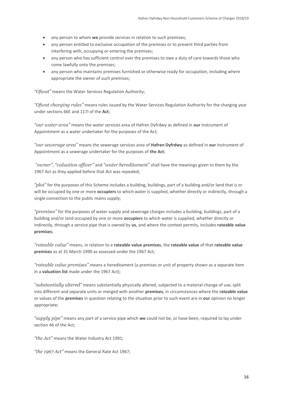- any person to whom **we** provide services in relation to such premises;
- any person entitled to exclusive occupation of the premises or to prevent third parties from interfering with, occupying or entering the premises;
- any person who has sufficient control over the premises to owe a duty of care towards those who come lawfully onto the premises;
- any person who maintains premises furnished or otherwise ready for occupation, including where appropriate the owner of such premises;

*"Ofwat"* means the Water Services Regulation Authority;

*"Ofwat charging rules"* means rules issued by the Water Services Regulation Authority for the charging year under sections 66E and 117I of the **Act**;

*"our water area"* means the water services area of Hafren Dyfrdwy as defined in **our** Instrument of Appointment as a water undertaker for the purposes of the Act;

*"our sewerage area"* means the sewerage services area of **Hafren Dyfrdwy** as defined in **our** Instrument of Appointment as a sewerage undertaker for the purposes of **the Act**;

*"owner"*, *"valuation officer"* and *"water hereditament"* shall have the meanings given to them by the 1967 Act as they applied before that Act was repealed;

*"plot"* for the purposes of this Scheme includes a building, buildings, part of a building and/or land that is or will be occupied by one or more **occupiers** to which water is supplied, whether directly or indirectly, through a single connection to the public mains supply;

*"premises"* for the purposes of water supply and sewerage charges includes a building, buildings, part of a building and/or land occupied by one or more **occupiers** to which water is supplied, whether directly or indirectly, through a service pipe that is owned by **us**, and where the context permits, includes **rateable value premises**;

*"rateable value"* means, in relation to a **rateable value premises**, the **rateable value** of that **rateable value premises** as at 31 March 1990 as assessed under the 1967 Act;

*"rateable value premises"* means a hereditament (a premises or unit of property shown as a separate item in a **valuation list** made under the 1967 Act);

*"substantially altered"* means substantially physically altered, subjected to a material change of use, split into different and separate units or merged with another **premises**, in circumstances where the **rateable value** or values of the **premises** in question relating to the situation prior to such event are in **our** opinion no longer appropriate;

*"supply pipe"* means any part of a service pipe which **we** could not be, or have been, required to lay under section 46 of the Act;

*"the Act"* means the Water Industry Act 1991;

*"the 1967 Act"* means the General Rate Act 1967;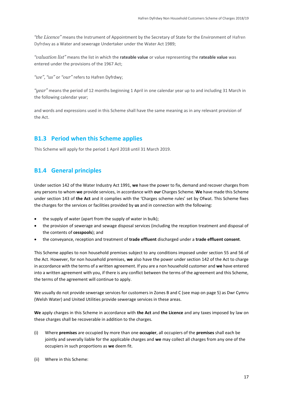*"the Licence"* means the Instrument of Appointment by the Secretary of State for the Environment of Hafren Dyfrdwy as a Water and sewerage Undertaker under the Water Act 1989;

*"valuation list"* means the list in which the **rateable value** or value representing the **rateable value** was entered under the provisions of the 1967 Act;

*"we", "us"* or *"our"* refers to Hafren Dyfrdwy;

*"year"* means the period of 12 months beginning 1 April in one calendar year up to and including 31 March in the following calendar year;

and words and expressions used in this Scheme shall have the same meaning as in any relevant provision of the Act.

### <span id="page-16-0"></span>**B1.3 Period when this Scheme applies**

This Scheme will apply for the period 1 April 2018 until 31 March 2019.

### <span id="page-16-1"></span>**B1.4 General principles**

Under section 142 of the Water Industry Act 1991, **we** have the power to fix, demand and recover charges from any persons to whom **we** provide services, in accordance with **our** Charges Scheme. **We** have made this Scheme under section 143 of **the Act** and it complies with the 'Charges scheme rules' set by Ofwat. This Scheme fixes the charges for the services or facilities provided by **us** and in connection with the following:

- the supply of water (apart from the supply of water in bulk);
- the provision of sewerage and sewage disposal services (including the reception treatment and disposal of the contents of **cesspools**); and
- the conveyance, reception and treatment of **trade effluent** discharged under a **trade effluent consent**.

This Scheme applies to non household premises subject to any conditions imposed under section 55 and 56 of the Act. However, for non household premises, **we** also have the power under section 142 of the Act to charge in accordance with the terms of a written agreement. If you are a non household customer and **we** have entered into a written agreement with you, if there is any conflict between the terms of the agreement and this Scheme, the terms of the agreement will continue to apply.

We usually do not provide sewerage services for customers in Zones B and C (see map on page 5) as Dwr Cymru (Welsh Water) and United Utilities provide sewerage services in these areas.

**We** apply charges in this Scheme in accordance with **the Act** and **the Licence** and any taxes imposed by law on these charges shall be recoverable in addition to the charges.

- (i) Where **premises** are occupied by more than one **occupier**, all occupiers of the **premises** shall each be jointly and severally liable for the applicable charges and **we** may collect all charges from any one of the occupiers in such proportions as **we** deem fit.
- (ii) Where in this Scheme: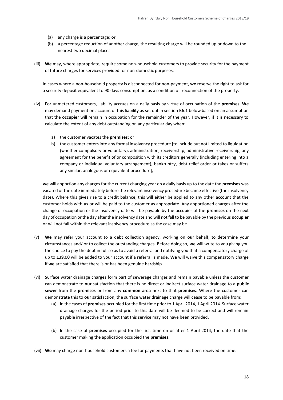- (a) any charge is a percentage; or
- (b) a percentage reduction of another charge, the resulting charge will be rounded up or down to the nearest two decimal places.
- (iii) **We** may, where appropriate, require some non-household customers to provide security for the payment of future charges for services provided for non-domestic purposes.

In cases where a non-household property is disconnected for non-payment, **we** reserve the right to ask for a security deposit equivalent to 90 days consumption, as a condition of reconnection of the property.

- (iv) For unmetered customers, liability accrues on a daily basis by virtue of occupation of the **premises**. **We** may demand payment on account of this liability as set out in section B6.1 below based on an assumption that the **occupier** will remain in occupation for the remainder of the year. However, if it is necessary to calculate the extent of any debt outstanding on any particular day when:
	- a) the customer vacates the **premises**; or
	- b) the customer enters into any formal insolvency procedure [to include but not limited to liquidation (whether compulsory or voluntary), administration, receivership, administrative receivership, any agreement for the benefit of or composition with its creditors generally (including entering into a company or individual voluntary arrangement), bankruptcy, debt relief order or takes or suffers any similar, analogous or equivalent procedure],

**we** will apportion any charges for the current charging year on a daily basis up to the date the **premises** was vacated or the date immediately before the relevant insolvency procedure became effective (the insolvency date). Where this gives rise to a credit balance, this will either be applied to any other account that the customer holds with **us** or will be paid to the customer as appropriate. Any apportioned charges after the change of occupation or the insolvency date will be payable by the occupier of the **premises** on the next day of occupation or the day after the insolvency date and will not fall to be payable by the previous **occupier** or will not fall within the relevant insolvency procedure as the case may be.

- (v) **We** may refer your account to a debt collection agency, working on **our** behalf, to determine your circumstances and/ or to collect the outstanding charges. Before doing so, **we** will write to you giving you the choice to pay the debt in full so as to avoid a referral and notifying you that a compensatory charge of up to £39.00 will be added to your account if a referral is made. **We** will waive this compensatory charge if **we** are satisfied that there is or has been genuine hardship
- (vi) Surface water drainage charges form part of sewerage charges and remain payable unless the customer can demonstrate to **our** satisfaction that there is no direct or indirect surface water drainage to a **public sewer** from the **premises** or from any **common area** next to that **premises**. Where the customer can demonstrate this to **our** satisfaction, the surface water drainage charge will cease to be payable from:
	- (a) In the cases of **premises** occupied for the first time prior to 1 April 2014, 1 April 2014. Surface water drainage charges for the period prior to this date will be deemed to be correct and will remain payable irrespective of the fact that this service may not have been provided.
	- (b) In the case of **premises** occupied for the first time on or after 1 April 2014, the date that the customer making the application occupied the **premises**.
- (vii) **We** may charge non-household customers a fee for payments that have not been received on time.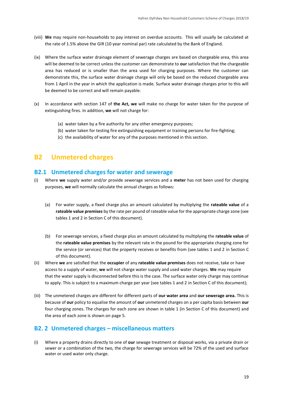- (viii) **We** may require non-households to pay interest on overdue accounts. This will usually be calculated at the rate of 1.5% above the GIR (10 year nominal par) rate calculated by the Bank of England.
- (ix) Where the surface water drainage element of sewerage charges are based on chargeable area, this area will be deemed to be correct unless the customer can demonstrate to **our** satisfaction that the chargeable area has reduced or is smaller than the area used for charging purposes. Where the customer can demonstrate this, the surface water drainage charge will only be based on the reduced chargeable area from 1 April in the year in which the application is made. Surface water drainage charges prior to this will be deemed to be correct and will remain payable.
- (x) In accordance with section 147 of **the Act, we** will make no charge for water taken for the purpose of extinguishing fires. In addition, **we** will not charge for:
	- (a) water taken by a fire authority for any other emergency purposes;
	- (b) water taken for testing fire extinguishing equipment or training persons for fire-fighting;
	- (c) the availability of water for any of the purposes mentioned in this section.

### <span id="page-18-0"></span>**B2 Unmetered charges**

#### <span id="page-18-1"></span>**B2.1 Unmetered charges for water and sewerage**

- (i) Where **we** supply water and/or provide sewerage services and a **meter** has not been used for charging purposes, **we** will normally calculate the annual charges as follows:
	- (a) For water supply, a fixed charge plus an amount calculated by multiplying the **rateable value** of a **rateable value premises** by the rate per pound of rateable value for the appropriate charge zone (see tables 1 and 2 in Section C of this document).
	- (b) For sewerage services, a fixed charge plus an amount calculated by multiplying the **rateable value** of the **rateable value premises** by the relevant rate in the pound for the appropriate charging zone for the service (or services) that the property receives or benefits from (see tables 1 and 2 in Section C of this document).
- (ii) Where **we** are satisfied that the **occupier** of any **rateable value premises** does not receive, take or have access to a supply of water, **we** will not charge water supply and used water charges. **We** may require that the water supply is disconnected before this is the case. The surface water only charge may continue to apply. This is subject to a maximum charge per year (see tables 1 and 2 in Section C of this document);
- (iii) The unmetered charges are different for different parts of **our water area** and **our sewerage area.** This is because of **our** policy to equalise the amount of **our** unmetered charges on a per capita basis between **our** four charging zones. The charges for each zone are shown in table 1 (in Section C of this document) and the area of each zone is shown on page 5.

#### <span id="page-18-2"></span>**B2. 2 Unmetered charges – miscellaneous matters**

(i) Where a property drains directly to one of **our** sewage treatment or disposal works, via a private drain or sewer or a combination of the two, the charge for sewerage services will be 72% of the used and surface water or used water only charge.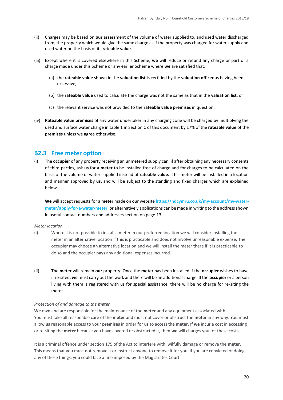- (ii) Charges may be based on **our** assessment of the volume of water supplied to, and used water discharged from, the property which would give the same charge as if the property was charged for water supply and used water on the basis of its **rateable value**.
- (iii) Except where it is covered elsewhere in this Scheme, **we** will reduce or refund any charge or part of a charge made under this Scheme or any earlier Scheme where **we** are satisfied that:
	- (a) the **rateable value** shown in the **valuation list** is certified by the **valuation officer** as having been excessive;
	- (b) the **rateable value** used to calculate the charge was not the same as that in the **valuation list**; or
	- (c) the relevant service was not provided to the **rateable value premises** in question.
- (iv) **Rateable value premises** of any water undertaker in any charging zone will be charged by multiplying the used and surface water charge in table 1 in Section C of this document by 17% of the **rateable value** of the **premises** unless we agree otherwise.

#### <span id="page-19-0"></span>**B2.3 Free meter option**

(i) The **occupier** of any property receiving an unmetered supply can, if after obtaining any necessary consents of third parties, ask **us** for a **meter** to be installed free of charge and for charges to be calculated on the basis of the volume of water supplied instead of **rateable value.**. This meter will be installed in a location and manner approved by **us,** and will be subject to the standing and fixed charges which are explained below.

**We** will accept requests for a **meter** made on our website **https://hdcymru.co.uk/my-account/my-watermeter/apply-for-a-water-meter**, or alternatively applications can be made in writing to the address shown in useful contact numbers and addresses section on page 13.

#### *Meter location*

- (i) Where it is not possible to install a meter in our preferred location we will consider installing the meter in an alternative location if this is practicable and does not involve unreasonable expense. The occupier may choose an alternative location and we will install the meter there if it is practicable to do so and the occupier pays any additional expenses incurred.
- (ii) The **meter** will remain **our** property. Once the **meter** has been installed if the **occupier** wishes to have it re-sited, **we** must carry out the work and there will be an additional charge. If the **occupier** or a person living with them is registered with us for special assistance, there will be no charge for re-siting the meter.

#### *Protection of and damage to the meter*

**We** own and are responsible for the maintenance of the **meter** and any equipment associated with it. You must take all reasonable care of the **meter** and must not cover or obstruct the **meter** in any way. You must allow **us** reasonable access to your **premises** in order for **us** to access the **meter**. If **we** incur a cost in accessing or re-siting the **meter** because you have covered or obstructed it, then **we** will charges you for these costs.

It is a criminal offence under section 175 of the Act to interfere with, wilfully damage or remove the **meter**. This means that you must not remove it or instruct anyone to remove it for you. If you are convicted of doing any of these things, you could face a fine imposed by the Magistrates Court.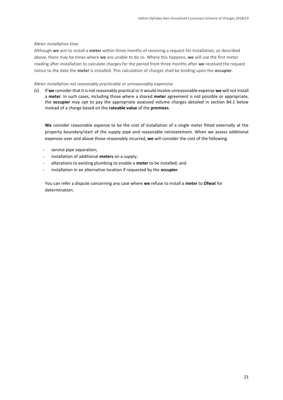#### *Meter installation time*

Although **we** aim to install a **meter** within three months of receiving a request for installation, as described above, there may be times where **we** are unable to do so. Where this happens, **we** will use the first meter reading after installation to calculate charges for the period from three months after **we** received the request notice to the date the **meter** is installed. This calculation of charges shall be binding upon the **occupier**.

#### *Meter installation not reasonably practicable or unreasonably expensive*

(v) If **we** consider that it is not reasonably practical or it would involve unreasonable expense **we** will not install a **meter**. In such cases, including those where a shared **meter** agreement is not possible or appropriate, the **occupier** may opt to pay the appropriate assessed volume charges detailed in section B4.1 below instead of a charge based on the **rateable value** of the **premises**.

**We** consider reasonable expense to be the cost of installation of a single meter fitted externally at the property boundary/start of the supply pipe and reasonable reinstatement. When we assess additional expenses over and above those reasonably incurred, **we** will consider the cost of the following:

- service pipe separation;
- installation of additional **meters** on a supply;
- alterations to existing plumbing to enable a **meter** to be installed; and
- installation in an alternative location if requested by the **occupier**.

You can refer a dispute concerning any case where **we** refuse to install a **meter** to **Ofwat** for determination.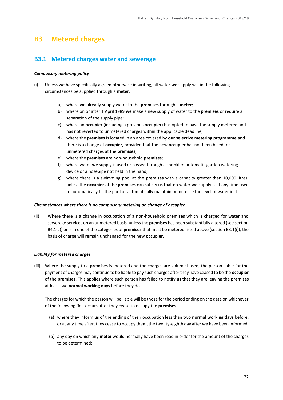### <span id="page-21-0"></span>**B3 Metered charges**

### <span id="page-21-1"></span>**B3.1 Metered charges water and sewerage**

#### *Compulsory metering policy*

- (i) Unless **we** have specifically agreed otherwise in writing, all water **we** supply will in the following circumstances be supplied through a **meter**:
	- a) where **we** already supply water to the **premises** through a **meter**;
	- b) where on or after 1 April 1989 **we** make a new supply of water to the **premises** or require a separation of the supply pipe;
	- c) where an **occupier** (including a previous **occupier**) has opted to have the supply metered and has not reverted to unmetered charges within the applicable deadline;
	- d) where the **premises** is located in an area covered by **our selective metering programme** and there is a change of **occupier**, provided that the new **occupier** has not been billed for unmetered charges at the **premises**;
	- e) where the **premises** are non-household **premises**;
	- f) where water **we** supply is used or passed through a sprinkler, automatic garden watering device or a hosepipe not held in the hand;
	- g) where there is a swimming pool at the **premises** with a capacity greater than 10,000 litres, unless the **occupier** of the **premises** can satisfy **us** that no water **we** supply is at any time used to automatically fill the pool or automatically maintain or increase the level of water in it.

#### *Circumstances where there is no compulsory metering on change of occupier*

(ii) Where there is a change in occupation of a non-household **premises** which is charged for water and sewerage services on an unmetered basis, unless the **premises** has been substantially altered (see section B4.1(c)) or is in one of the categories of **premises** that must be metered listed above (section B3.1(i)), the basis of charge will remain unchanged for the new **occupier**.

#### *Liability for metered charges*

(iii) Where the supply to a **premises** is metered and the charges are volume based, the person liable for the payment of charges may continue to be liable to pay such charges after they have ceased to be the **occupier** of the **premises**. This applies where such person has failed to notify **us** that they are leaving the **premises** at least two **normal working days** before they do.

The charges for which the person will be liable will be those for the period ending on the date on whichever of the following first occurs after they cease to occupy the **premises**:

- (a) where they inform **us** of the ending of their occupation less than two **normal working days** before, or at any time after, they cease to occupy them, the twenty-eighth day after **we** have been informed;
- (b) any day on which any **meter** would normally have been read in order for the amount of the charges to be determined;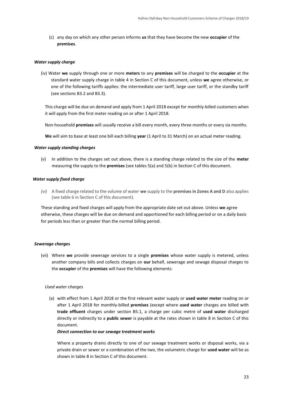(c) any day on which any other person informs **us** that they have become the new **occupier** of the **premises**.

#### *Water supply charge*

(iv) Water **we** supply through one or more **meters** to any **premises** will be charged to the **occupier** at the standard water supply charge in table 4 in Section C of this document, unless **we** agree otherwise, or one of the following tariffs applies: the intermediate user tariff, large user tariff, or the standby tariff (see sections B3.2 and B3.3).

This charge will be due on demand and apply from 1 April 2018 except for monthly-billed customers when it will apply from the first meter reading on or after 1 April 2018.

Non-household **premises** will usually receive a bill every month, every three months or every six months.

**We** will aim to base at least one bill each billing **year** (1 April to 31 March) on an actual meter reading.

#### *Water supply standing charges*

(v) In addition to the charges set out above, there is a standing charge related to the size of the **meter**  measuring the supply to the **premises** (see tables 5(a) and 5(b) in Section C of this document.

#### *Water supply fixed charge*

*(vi)* A fixed charge related to the volume of water **we** supply to the **premises in Zones A and D** also applies (see table 6 in Section C of this document).

These standing and fixed charges will apply from the appropriate date set out above. Unless **we** agree otherwise, these charges will be due on demand and apportioned for each billing period or on a daily basis for periods less than or greater than the normal billing period.

#### *Sewerage charges*

(vii) Where **we** provide sewerage services to a single **premises** whose water supply is metered, unless another company bills and collects charges on **our** behalf, sewerage and sewage disposal charges to the **occupier** of the **premises** will have the following elements:

#### *Used water charges*

(a) with effect from 1 April 2018 or the first relevant water supply or **used water meter** reading on or after 1 April 2018 for monthly-billed **premises** (except where **used water** charges are billed with **trade effluent** charges under section B5.1, a charge per cubic metre of **used water** discharged directly or indirectly to a **public sewer** is payable at the rates shown in table 8 in Section C of this document.

#### *Direct connection to our sewage treatment works*

Where a property drains directly to one of our sewage treatment works or disposal works, via a private drain or sewer or a combination of the two, the volumetric charge for **used water** will be as shown in table 8 in Section C of this document.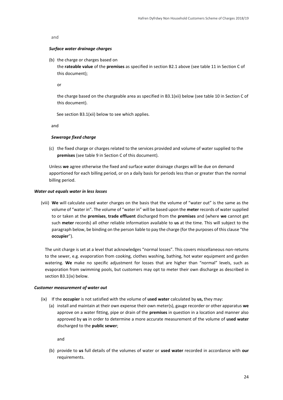#### and

#### *Surface water drainage charges*

(b) the charge or charges based on

the **rateable value** of the **premises** as specified in section B2.1 above (see table 11 in Section C of this document);

or

the charge based on the chargeable area as specified in B3.1(xii) below (see table 10 in Section C of this document).

See section B3.1(xii) below to see which applies.

and

#### *Sewerage fixed charge*

(c) the fixed charge or charges related to the services provided and volume of water supplied to the **premises** (see table 9 in Section C of this document).

Unless **we** agree otherwise the fixed and surface water drainage charges will be due on demand apportioned for each billing period, or on a daily basis for periods less than or greater than the normal billing period.

#### *Water out equals water in less losses*

(viii) **We** will calculate used water charges on the basis that the volume of "water out" is the same as the volume of "water in". The volume of "water in" will be based upon the **meter** records of water supplied to or taken at the **premises**, **trade effluent** discharged from the **premises** and (where **we** cannot get such **meter** records) all other reliable information available to **us** at the time. This will subject to the paragraph below, be binding on the person liable to pay the charge (for the purposes of this clause "the **occupier**").

The unit charge is set at a level that acknowledges "normal losses". This covers miscellaneous non-returns to the sewer, e.g. evaporation from cooking, clothes washing, bathing, hot water equipment and garden watering. **We** make no specific adjustment for losses that are higher than "normal" levels, such as evaporation from swimming pools, but customers may opt to meter their own discharge as described in section B3.1(ix) below.

#### *Customer measurement of water out*

- (ix) If the **occupier** is not satisfied with the volume of **used water** calculated by **us,** they may:
	- (a) install and maintain at their own expense their own meter(s), gauge recorder or other apparatus **we**  approve on a water fitting, pipe or drain of the **premises** in question in a location and manner also approved by **us** in order to determine a more accurate measurement of the volume of **used water** discharged to the **public sewer**;

and

(b) provide to **us** full details of the volumes of water or **used water** recorded in accordance with **our**  requirements.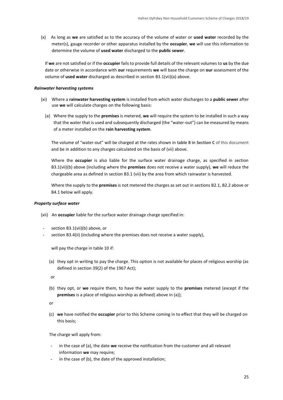(x) As long as **we** are satisfied as to the accuracy of the volume of water or **used water** recorded by the meter(s), gauge recorder or other apparatus installed by the **occupier**, **we** will use this information to determine the volume of **used water** discharged to the **public sewer**.

If **we** are not satisfied or if the **occupier** fails to provide full details of the relevant volumes to **us** by the due date or otherwise in accordance with **our** requirements **we** will base the charge on **our** assessment of the volume of **used water** discharged as described in section B3.1(vii)(a) above.

#### *Rainwater harvesting systems*

- (xi) Where a **rainwater harvesting system** is installed from which water discharges to a **public sewer** after use **we** will calculate charges on the following basis:
	- (a) Where the supply to the **premises** is metered, **we** will require the system to be installed in such a way that the water that is used and subsequently discharged (the "water-out") can be measured by means of a meter installed on the **rain harvesting system**.

The volume of "water-out" will be charged at the rates shown in **table 8 in Section C** of this document and be in addition to any charges calculated on the basis of (vii) above.

Where the **occupier** is also liable for the surface water drainage charge, as specified in section B3.1(vii)(b) above (including where the **premises** does not receive a water supply), **we** will reduce the chargeable area as defined in section B3.1 (vii) by the area from which rainwater is harvested.

Where the supply to the **premises** is not metered the charges as set out in sections B2.1, B2.2 above or B4.1 below will apply.

#### *Property surface water*

- (xii) An **occupier** liable for the surface water drainage charge specified in:
- section B3.1(vii)(b) above, or
- section B3.4(ii) (including where the premises does not receive a water supply),

will pay the charge in table 10 if:

(a) they opt in writing to pay the charge. This option is not available for places of religious worship (as defined in section 39(2) of the 1967 Act);

or

(b) they opt, or **we** require them, to have the water supply to the **premises** metered (except if the **premises** is a place of religious worship as defined) above in (a)):

or

(c) **we** have notified the **occupier** prior to this Scheme coming in to effect that they will be charged on this basis;

The charge will apply from:

- in the case of (a), the date we receive the notification from the customer and all relevant information **we** may require;
- in the case of (b), the date of the approved installation;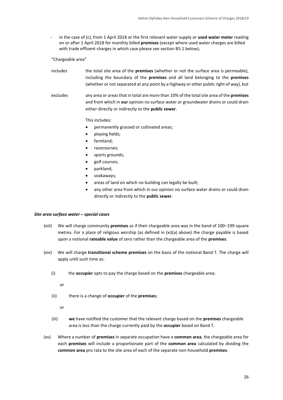in the case of (c), from 1 April 2018 or the first relevant water supply or **used water meter** reading on or after 1 April 2018 for monthly billed **premises** (except where used water charges are billed with trade effluent charges in which case please see section B5.1 below);

"Chargeable area"

- includes the total site area of the **premises** (whether or not the surface area is permeable), including the boundary of the **premises** and all land belonging to the **premises** (whether or not separated at any point by a highway or other public right of way), but
- excludes any area or areas that in total are more than 10% of the total site area of the **premises** and from which in **our** opinion no surface water or groundwater drains or could drain either directly or indirectly to the **public sewer**.

This includes:

- permanently grassed or cultivated areas;
- playing fields;
- farmland;
- racecourses;
- sports grounds;
- golf courses;
- parkland;
- soakaways;
- areas of land on which no building can legally be built;
- any other area from which in our opinion no surface water drains or could drain directly or indirectly to the **public sewer**.

#### *Site area surface water – special cases*

- (xiii) We will charge community **premises** as if their chargeable area was in the band of 100–199 square metres. For a place of religious worship (as defined in (xi)(a) above) the charge payable is based upon a notional **rateable value** of zero rather than the chargeable area of the **premises**.
- (xiv) We will charge **transitional scheme premises** on the basis of the notional Band T. The charge will apply until such time as:
	- (i) the **occupier** opts to pay the charge based on the **premises** chargeable area;

or

(ii) there is a change of **occupier** of the **premises**;

or

- (iii) **we** have notified the customer that the relevant charge based on the **premises** chargeable area is less than the charge currently paid by the **occupier** based on Band T.
- (xv) Where a number of **premises** in separate occupation have a **common area**, the chargeable area for each **premises** will include a proportionate part of the **common area** calculated by dividing the **common area** pro rata to the site area of each of the separate non-household **premises**.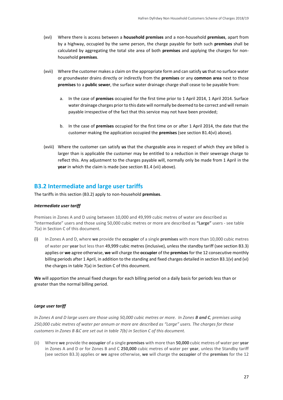- (xvi) Where there is access between a **household premises** and a non-household **premises**, apart from by a highway, occupied by the same person, the charge payable for both such **premises** shall be calculated by aggregating the total site area of both **premises** and applying the charges for nonhousehold **premises**.
- (xvii) Where the customer makes a claim on the appropriate form and can satisfy **us**that no surface water or groundwater drains directly or indirectly from the **premises** or any **common area** next to those **premises** to a **public sewer**, the surface water drainage charge shall cease to be payable from:
	- a. In the case of **premises** occupied for the first time prior to 1 April 2014, 1 April 2014. Surface water drainage charges prior to this date will normally be deemed to be correct and will remain payable irrespective of the fact that this service may not have been provided;
	- b. In the case of **premises** occupied for the first time on or after 1 April 2014, the date that the customer making the application occupied the **premises** (see section B1.4(vi) above).
- (xviii) Where the customer can satisfy **us** that the chargeable area in respect of which they are billed is larger than is applicable the customer may be entitled to a reduction in their sewerage charge to reflect this. Any adjustment to the charges payable will, normally only be made from 1 April in the **year** in which the claim is made (see section B1.4 (vii) above).

### <span id="page-26-0"></span>**B3.2 Intermediate and large user tariffs**

The tariffs in this section (B3.2) apply to non-household **premises**.

#### *Intermediate user tariff*

Premises in Zones A and D using between 10,000 and 49,999 cubic metres of water are described as "Intermediate" users and those using 50,000 cubic metres or more are described as **"Large"** users - see table 7(a) in Section C of this document.

(i) In Zones A and D, where **we** provide the **occupier** of a single **premises** with more than 10,000 cubic metres of water per **year** but less than 49,999 cubic metres (inclusive), unless the standby tariff (see section B3.3) applies or **we** agree otherwise, **we** will charge the **occupier** of the **premises**for the 12 consecutive monthly billing periods after 1 April, in addition to the standing and fixed charges detailed in section B3.1(v) and (vi) the charges in table 7(a) in Section C of this document.

**We** will apportion the annual fixed charges for each billing period on a daily basis for periods less than or greater than the normal billing period.

#### *Large user tariff*

*In Zones A and D large users are those using 50,000 cubic metres or more. In Zones B and C*, premises using *250,000 cubic metres of water per annum or more are described as "Large" users. The charges for these customers in Zones B &C are set out in table 7(b) in Section C of this document.*

(ii) Where **we** provide the **occupier** of a single **premises** with more than **50,000** cubic metres of water per **year** in Zones A and D or for Zones B and C **250,000** cubic metres of water per **year**, unless the Standby tariff (see section B3.3) applies or **we** agree otherwise, **we** will charge the **occupier** of the **premises** for the 12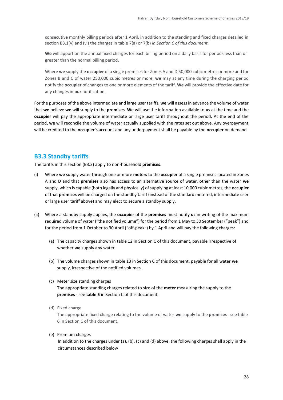consecutive monthly billing periods after 1 April, in addition to the standing and fixed charges detailed in section B3.1(v) and (vi) the charges in table 7(a) or 7(b) *in Section C of this document.*

**We** will apportion the annual fixed charges for each billing period on a daily basis for periods less than or greater than the normal billing period.

Where **we** supply the **occupier** of a single premises for Zones A and D 50,000 cubic metres or more and for Zones B and C of water 250,000 cubic metres or more, **we** may at any time during the charging period notify the **occupier** of changes to one or more elements of the tariff. **We** will provide the effective date for any changes in **our** notification.

For the purposes of the above intermediate and large user tariffs, **we** will assess in advance the volume of water that **we** believe **we** will supply to the **premises**. **We** will use the information available to **us** at the time and the **occupier** will pay the appropriate intermediate or large user tariff throughout the period. At the end of the period, **we** will reconcile the volume of water actually supplied with the rates set out above. Any overpayment will be credited to the **occupier**'s account and any underpayment shall be payable by the **occupier** on demand.

#### <span id="page-27-0"></span>**B3.3 Standby tariffs**

The tariffs in this section (B3.3) apply to non-household **premises**.

- (i) Where **we** supply water through one or more **meters** to the **occupier** of a single premises located in Zones A and D and that **premises** also has access to an alternative source of water, other than the water **we**  supply, which is capable (both legally and physically) of supplying at least 10,000 cubic metres, the **occupier** of that **premises** will be charged on the standby tariff (instead of the standard metered, intermediate user or large user tariff above) and may elect to secure a standby supply.
- (ii) Where a standby supply applies, the **occupier** of the **premises** must notify **us** in writing of the maximum required volume of water ("the notified volume") for the period from 1 May to 30 September ("peak") and for the period from 1 October to 30 April ("off-peak") by 1 April and will pay the following charges:
	- (a) The capacity charges shown in table 12 in Section C of this document, payable irrespective of whether **we** supply any water.
	- (b) The volume charges shown in table 13 in Section C of this document, payable for all water **we** supply, irrespective of the notified volumes.
	- (c) Meter size standing charges The appropriate standing charges related to size of the **meter** measuring the supply to the **premises** - see **table 5** in Section C of this document.
	- (d) Fixed charge

The appropriate fixed charge relating to the volume of water **we** supply to the **premises** - see table 6 in Section C of this document.

(e) Premium charges

In addition to the charges under (a), (b), (c) and (d) above, the following charges shall apply in the circumstances described below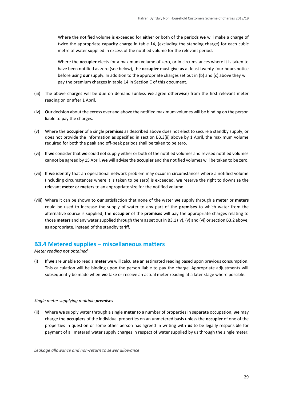Where the notified volume is exceeded for either or both of the periods **we** will make a charge of twice the appropriate capacity charge in table 14, (excluding the standing charge) for each cubic metre of water supplied in excess of the notified volume for the relevant period.

Where the **occupier** elects for a maximum volume of zero, or in circumstances where it is taken to have been notified as zero (see below), the **occupier** must give **us** at least twenty-four hours notice before using **our** supply. In addition to the appropriate charges set out in (b) and (c) above they will pay the premium charges in table 14 in Section C of this document.

- (iii) The above charges will be due on demand (unless **we** agree otherwise) from the first relevant meter reading on or after 1 April.
- (iv) **Our** decision about the excess over and above the notified maximum volumes will be binding on the person liable to pay the charges.
- (v) Where the **occupier** of a single **premises** as described above does not elect to secure a standby supply, or does not provide the information as specified in section B3.3(ii) above by 1 April, the maximum volume required for both the peak and off-peak periods shall be taken to be zero.
- (vi) If **we** consider that **we** could not supply either or both of the notified volumes and revised notified volumes cannot be agreed by 15 April, **we** will advise the **occupier** and the notified volumes will be taken to be zero.
- (vii) If **we** identify that an operational network problem may occur in circumstances where a notified volume (including circumstances where it is taken to be zero) is exceeded, **we** reserve the right to downsize the relevant **meter** or **meters** to an appropriate size for the notified volume.
- (viii) Where it can be shown to **our** satisfaction that none of the water **we** supply through a **meter** or **meters**  could be used to increase the supply of water to any part of the **premises** to which water from the alternative source is supplied, the **occupier** of the **premises** will pay the appropriate charges relating to those **meters** and any water supplied through them as set out in B3.1 (iv), (v) and (vi) or section B3.2 above, as appropriate, instead of the standby tariff.

#### <span id="page-28-0"></span>**B3.4 Metered supplies – miscellaneous matters**

*Meter reading not obtained*

(i) If **we** are unable to read a **meter** we will calculate an estimated reading based upon previous consumption. This calculation will be binding upon the person liable to pay the charge. Appropriate adjustments will subsequently be made when **we** take or receive an actual meter reading at a later stage where possible.

#### *Single meter supplying multiple premises*

(ii) Where **we** supply water through a single **meter** to a number of properties in separate occupation, **we** may charge the **occupiers** of the individual properties on an unmetered basis unless the **occupier** of one of the properties in question or some other person has agreed in writing with **us** to be legally responsible for payment of all metered water supply charges in respect of water supplied by us through the single meter.

*Leakage allowance and non-return to sewer allowance*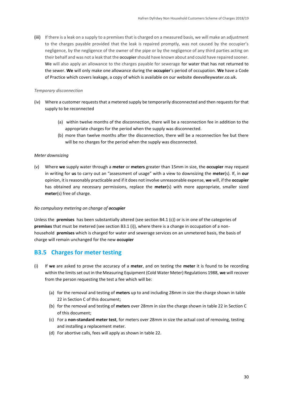**(iii)** If there is a leak on a supply to a premises that is charged on a measured basis, we will make an adjustment to the charges payable provided that the leak is repaired promptly, was not caused by the occupier's negligence, by the negligence of the owner of the pipe or by the negligence of any third parties acting on their behalf and was not a leak that the **occupier**should have known about and could have repaired sooner. **We** will also apply an allowance to the charges payable for sewerage for water that has not returned to the sewer. **We** will only make one allowance during the **occupier**'s period of occupation. **We** have a Code of Practice which covers leakage, a copy of which is available on our website **deevalleywater.co.uk.** 

#### *Temporary disconnection*

- (iv) Where a customer requests that a metered supply be temporarily disconnected and then requests for that supply to be reconnected
	- (a) within twelve months of the disconnection, there will be a reconnection fee in addition to the appropriate charges for the period when the supply was disconnected.
	- (b) more than twelve months after the disconnection, there will be a reconnection fee but there will be no charges for the period when the supply was disconnected.

#### *Meter downsizing*

(v) Where **we** supply water through a **meter** or **meters** greater than 15mm in size, the **occupier** may request in writing for **us** to carry out an "assessment of usage" with a view to downsizing the **meter**(s). If, in **our**  opinion, it is reasonably practicable and if it does not involve unreasonable expense, **we** will, if the **occupier** has obtained any necessary permissions, replace the **meter**(s) with more appropriate, smaller sized **meter**(s) free of charge.

#### *No compulsory metering on change of occupier*

Unless the **premises** has been substantially altered (see section B4.1 (c)) or is in one of the categories of **premises** that must be metered (see section B3.1 (i)), where there is a change in occupation of a nonhousehold **premises** which is charged for water and sewerage services on an unmetered basis, the basis of charge will remain unchanged for the new **occupier**

#### <span id="page-29-0"></span>**B3.5 Charges for meter testing**

- (i) If **we** are asked to prove the accuracy of a **meter**, and on testing the **meter** it is found to be recording within the limits set out in the Measuring Equipment (Cold Water Meter) Regulations 1988, **we** will recover from the person requesting the test a fee which will be:
	- (a) for the removal and testing of **meters** up to and including 28mm in size the charge shown in table 22 in Section C of this document;
	- (b) for the removal and testing of **meters** over 28mm in size the charge shown in table 22 in Section C of this document;
	- (c) For a **non-standard meter test**, for meters over 28mm in size the actual cost of removing, testing and installing a replacement meter.
	- (d) For abortive calls, fees will apply as shown in table 22.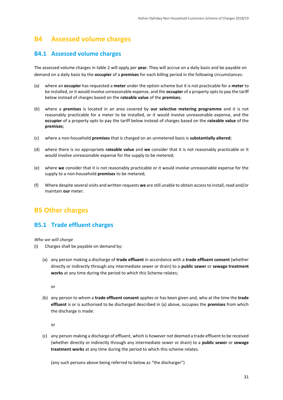### <span id="page-30-0"></span>**B4 Assessed volume charges**

### <span id="page-30-1"></span>**B4.1 Assessed volume charges**

The assessed volume charges in table 2 will apply per **year.** They will accrue on a daily basis and be payable on demand on a daily basis by the **occupier** of a **premises** for each billing period in the following circumstances:

- (a) where an **occupier** has requested a **meter** under the option scheme but it is not practicable for a **meter** to be installed, or it would involve unreasonable expense, and the **occupier** of a property opts to pay the tariff below instead of charges based on the **rateable value** of the **premises**;
- (b) where a **premises** is located in an area covered by **our selective metering programme** and it is not reasonably practicable for a meter to be installed, or it would involve unreasonable expense, and the **occupier** of a property opts to pay the tariff below instead of charges based on the **rateable value** of the **premises**;
- (c) where a non-household **premises** that is charged on an unmetered basis is **substantially altered**;
- (d) where there is no appropriate **rateable value** and **we** consider that it is not reasonably practicable or it would involve unreasonable expense for the supply to be metered;
- (e) where **we** consider that it is not reasonably practicable or it would involve unreasonable expense for the supply to a non-household **premises** to be metered;
- (f) Where despite several visits and written requests **we** are still unable to obtain access to install, read and/or maintain **our** meter.

### <span id="page-30-2"></span>**B5 Other charges**

### <span id="page-30-3"></span>**B5.1 Trade effluent charges**

*Who we will charge*

- (i) Charges shall be payable on demand by:
	- (a) any person making a discharge of **trade effluent** in accordance with a **trade effluent consent** (whether directly or indirectly through any intermediate sewer or drain) to a **public sewer** or **sewage treatment works** at any time during the period to which this Scheme relates;

or

(b) any person to whom a **trade effluent consent** applies or has been given and, who at the time the **trade effluent** is or is authorised to be discharged described in (a) above, occupies the **premises** from which the discharge is made:

or

(c) any person making a discharge of effluent, which is however not deemed a trade effluent to be received (whether directly or indirectly through any intermediate sewer or drain) to a **public sewer** or **sewage treatment works** at any time during the period to which this scheme relates.

(any such persons above being referred to below as "the discharger")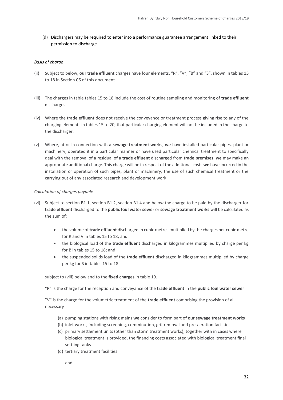(d) Dischargers may be required to enter into a performance guarantee arrangement linked to their permission to discharge.

#### *Basis of charge*

- (ii) Subject to below, **our trade effluent** charges have four elements, "R", "V", "B" and "S", shown in tables 15 to 18 in Section C6 of this document.
- (iii) The charges in table tables 15 to 18 include the cost of routine sampling and monitoring of **trade effluent** discharges.
- (iv) Where the **trade effluent** does not receive the conveyance or treatment process giving rise to any of the charging elements in tables 15 to 20, that particular charging element will not be included in the charge to the discharger.
- (v) Where, at or in connection with a **sewage treatment works**, **we** have installed particular pipes, plant or machinery, operated it in a particular manner or have used particular chemical treatment to specifically deal with the removal of a residual of a **trade effluent** discharged from **trade premises**, **we** may make an appropriate additional charge. This charge will be in respect of the additional costs **we** have incurred in the installation or operation of such pipes, plant or machinery, the use of such chemical treatment or the carrying out of any associated research and development work.

#### *Calculation of charges payable*

- (vi) Subject to section B1.1, section B1.2, section B1.4 and below the charge to be paid by the discharger for **trade effluent** discharged to the **public foul water sewer** or **sewage treatment works** will be calculated as the sum of:
	- the volume of **trade effluent** discharged in cubic metres multiplied by the charges per cubic metre for R and V in tables 15 to 18; and
	- the biological load of the **trade effluent** discharged in kilogrammes multiplied by charge per kg for B in tables 15 to 18; and
	- the suspended solids load of the **trade effluent** discharged in kilogrammes multiplied by charge per kg for S in tables 15 to 18.

subject to (viii) below and to the **fixed charges** in table 19.

"R" is the charge for the reception and conveyance of the **trade effluent** in the **public foul water sewer**

"V" is the charge for the volumetric treatment of the **trade effluent** comprising the provision of all necessary

- (a) pumping stations with rising mains **we** consider to form part of **our sewage treatment works**
- (b) inlet works, including screening, comminution, grit removal and pre-aeration facilities
- (c) primary settlement units (other than storm treatment works), together with in cases where biological treatment is provided, the financing costs associated with biological treatment final settling tanks
- (d) tertiary treatment facilities

and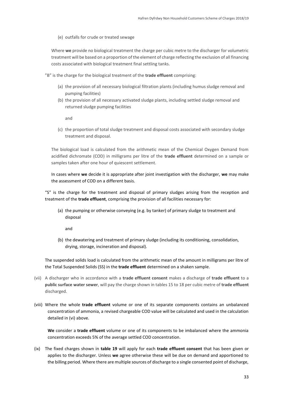(e) outfalls for crude or treated sewage

Where **we** provide no biological treatment the charge per cubic metre to the discharger for volumetric treatment will be based on a proportion of the element of charge reflecting the exclusion of all financing costs associated with biological treatment final settling tanks.

"B" is the charge for the biological treatment of the **trade effluent** comprising:

- (a) the provision of all necessary biological filtration plants (including humus sludge removal and pumping facilities)
- (b) the provision of all necessary activated sludge plants, including settled sludge removal and returned sludge pumping facilities

and

(c) the proportion of total sludge treatment and disposal costs associated with secondary sludge treatment and disposal.

The biological load is calculated from the arithmetic mean of the Chemical Oxygen Demand from acidified dichromate (COD) in milligrams per litre of the **trade effluent** determined on a sample or samples taken after one hour of quiescent settlement.

In cases where **we** decide it is appropriate after joint investigation with the discharger, **we** may make the assessment of COD on a different basis.

"S" is the charge for the treatment and disposal of primary sludges arising from the reception and treatment of the **trade effluent**, comprising the provision of all facilities necessary for:

(a) the pumping or otherwise conveying (e.g. by tanker) of primary sludge to treatment and disposal

and

(b) the dewatering and treatment of primary sludge (including its conditioning, consolidation, drying, storage, incineration and disposal).

The suspended solids load is calculated from the arithmetic mean of the amount in milligrams per litre of the Total Suspended Solids (SS) in the **trade effluent** determined on a shaken sample.

- (vii) A discharger who in accordance with a **trade effluent consent** makes a discharge of **trade effluent** to a **public surface water sewer**, will pay the charge shown in tables 15 to 18 per cubic metre of **trade effluent** discharged.
- (viii) Where the whole **trade effluent** volume or one of its separate components contains an unbalanced concentration of ammonia, a revised chargeable COD value will be calculated and used in the calculation detailed in (vi) above.

**We** consider a **trade effluent** volume or one of its components to be imbalanced where the ammonia concentration exceeds 5% of the average settled COD concentration.

(ix) The fixed charges shown in **table 19** will apply for each **trade effluent consent** that has been given or applies to the discharger. Unless **we** agree otherwise these will be due on demand and apportioned to the billing period. Where there are multiple sources of discharge to a single consented point of discharge,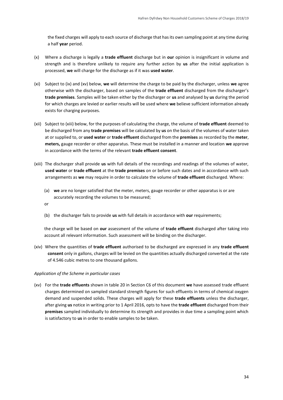the fixed charges will apply to each source of discharge that has its own sampling point at any time during a half **year** period.

- (x) Where a discharge is legally a **trade effluent** discharge but in **our** opinion is insignificant in volume and strength and is therefore unlikely to require any further action by **us** after the initial application is processed, **we** will charge for the discharge as if it was **used water**.
- (xi) Subject to (ix) and (xv) below, **we** will determine the charge to be paid by the discharger, unless **we** agree otherwise with the discharger, based on samples of the **trade effluent** discharged from the discharger's **trade premises**. Samples will be taken either by the discharger or **us** and analysed by **us** during the period for which charges are levied or earlier results will be used where **we** believe sufficient information already exists for charging purposes.
- (xii) Subject to (xiii) below, for the purposes of calculating the charge, the volume of **trade effluent** deemed to be discharged from any **trade premises** will be calculated by **us** on the basis of the volumes of water taken at or supplied to, or **used water** or **trade effluent** discharged from the **premises** as recorded by the **meter**, **meters,** gauge recorder or other apparatus. These must be installed in a manner and location **we** approve in accordance with the terms of the relevant **trade effluent consent**.
- (xiii) The discharger shall provide **us** with full details of the recordings and readings of the volumes of water, **used water** or **trade effluent** at the **trade premises** on or before such dates and in accordance with such arrangements as **we** may require in order to calculate the volume of **trade effluent** discharged. Where:
	- (a) **we** are no longer satisfied that the meter, meters, gauge recorder or other apparatus is or are accurately recording the volumes to be measured;

or

(b) the discharger fails to provide **us** with full details in accordance with **our** requirements;

the charge will be based on **our** assessment of the volume of **trade effluent** discharged after taking into account all relevant information. Such assessment will be binding on the discharger.

(xiv) Where the quantities of **trade effluent** authorised to be discharged are expressed in any **trade effluent consent** only in gallons, charges will be levied on the quantities actually discharged converted at the rate of 4.546 cubic metres to one thousand gallons.

#### *Application of the Scheme in particular cases*

(xv) For the **trade effluents** shown in table 20 in Section C6 of this document **we** have assessed trade effluent charges determined on sampled standard strength figures for such effluents in terms of chemical oxygen demand and suspended solids. These charges will apply for these **trade effluents** unless the discharger, after giving **us** notice in writing prior to 1 April 2016, opts to have the **trade effluent** discharged from their **premises** sampled individually to determine its strength and provides in due time a sampling point which is satisfactory to **us** in order to enable samples to be taken.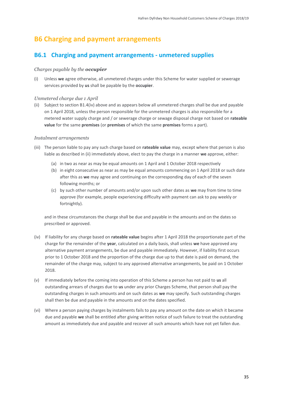### <span id="page-34-0"></span>**B6 Charging and payment arrangements**

### **B6.1 Charging and payment arrangements - unmetered supplies**

#### *Charges payable by the occupier*

(i) Unless **we** agree otherwise, all unmetered charges under this Scheme for water supplied or sewerage services provided by **us** shall be payable by the **occupier**.

#### *Unmetered charge due 1 April*

(ii) Subject to section B1.4(iv) above and as appears below all unmetered charges shall be due and payable on 1 April 2018, unless the person responsible for the unmetered charges is also responsible for a metered water supply charge and / or sewerage charge or sewage disposal charge not based on **rateable value** for the same **premises** (or **premises** of which the same **premises** forms a part).

#### *Instalment arrangements*

- (iii) The person liable to pay any such charge based on **rateable value** may, except where that person is also liable as described in (ii) immediately above, elect to pay the charge in a manner **we** approve, either:
	- (a) in two as near as may be equal amounts on 1 April and 1 October 2018 respectively
	- (b) in eight consecutive as near as may be equal amounts commencing on 1 April 2018 or such date after this as **we** may agree and continuing on the corresponding day of each of the seven following months; or
	- (c) by such other number of amounts and/or upon such other dates as **we** may from time to time approve (for example, people experiencing difficulty with payment can ask to pay weekly or fortnightly).

and in these circumstances the charge shall be due and payable in the amounts and on the dates so prescribed or approved.

- (iv) If liability for any charge based on **rateable value** begins after 1 April 2018 the proportionate part of the charge for the remainder of the **year**, calculated on a daily basis, shall unless **we** have approved any alternative payment arrangements, be due and payable immediately. However, if liability first occurs prior to 1 October 2018 and the proportion of the charge due up to that date is paid on demand, the remainder of the charge may, subject to any approved alternative arrangements, be paid on 1 October 2018.
- (v) If immediately before the coming into operation of this Scheme a person has not paid to **us** all outstanding arrears of charges due to **us** under any prior Charges Scheme, that person shall pay the outstanding charges in such amounts and on such dates as **we** may specify. Such outstanding charges shall then be due and payable in the amounts and on the dates specified.
- (vi) Where a person paying charges by instalments fails to pay any amount on the date on which it became due and payable **we** shall be entitled after giving written notice of such failure to treat the outstanding amount as immediately due and payable and recover all such amounts which have not yet fallen due.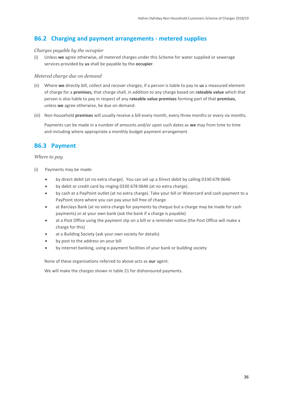### **B6.2 Charging and payment arrangements - metered supplies**

#### *Charges payable by the occupier*

(i) Unless **we** agree otherwise, all metered charges under this Scheme for water supplied or sewerage services provided by **us** shall be payable by the **occupier**.

#### *Metered charge due on demand*

- (ii) Where **we** directly bill, collect and recover charges, if a person is liable to pay to **us** a measured element of charge for a **premises,** that charge shall, in addition to any charge based on **rateable value** which that person is also liable to pay in respect of any **rateable value premises** forming part of that **premises**, unless **we** agree otherwise, be due on demand.
- (iii) Non-household **premises** will usually receive a bill every month, every three months or every six months.

Payments can be made in a number of amounts and/or upon such dates as **we** may from time to time and including where appropriate a monthly budget payment arrangement.

### **B6.3 Payment**

#### *Where to pay*

- (i) Payments may be made:
	- by direct debit (at no extra charge). You can set up a Direct debit by calling 0330 678 0646
	- by debit or credit card by ringing 0330 678 0646 (at no extra charge).
	- by cash at a PayPoint outlet (at no extra charge). Take your bill or Watercard and cash payment to a PayPoint store where you can pay your bill free of charge
	- at Barclays Bank (at no extra charge for payments by cheque but a charge may be made for cash payments) or at your own bank (ask the bank if a charge is payable)
	- at a Post Office using the payment slip on a bill or a reminder notice (the Post Office will make a charge for this)
	- at a Building Society (ask your own society for details)
	- by post to the address on your bill
	- by internet banking, using e-payment facilities of your bank or building society

None of these organisations referred to above acts as **our** agent.

We will make the charges shown in table 21 for dishonoured payments.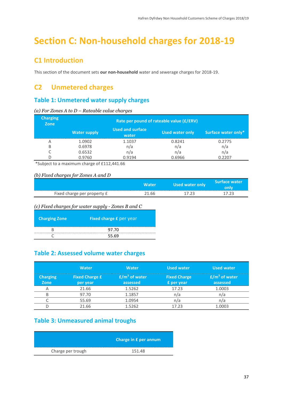# <span id="page-36-0"></span>**Section C: Non-household charges for 2018-19**

### <span id="page-36-1"></span>**C1 Introduction**

This section of the document sets **our non-household** water and sewerage charges for 2018-19.

### <span id="page-36-2"></span>**C2 Unmetered charges**

### **Table 1: Unmetered water supply charges**

| <b>Charging</b><br>Zone | Rate per pound of rateable value (£/£RV) |                                  |                 |                     |
|-------------------------|------------------------------------------|----------------------------------|-----------------|---------------------|
|                         | <b>Water supply</b>                      | <b>Used and surface</b><br>water | Used water only | Surface water only* |
| Α                       | 1.0902                                   | 1.1037                           | 0.8241          | 0.2775              |
| B                       | 0.6978                                   | n/a                              | n/a             | n/a                 |
|                         | 0.6532                                   | n/a                              | n/a             | n/a                 |
|                         | 0.9760                                   | 0.9194                           | 0.6966          | 0.2207              |

*(a) For Zones A to D – Rateable value charges*

\*Subject to a maximum charge of £112,441.66

#### *(b) Fixed charges for Zones A and D*

|                             |       | Used water only | <b>Surface water</b> |
|-----------------------------|-------|-----------------|----------------------|
| Fixed charge per property £ | 21.66 |                 |                      |
|                             |       |                 |                      |

*(c) Fixed charges for water supply - Zones B and C* 

| <b>Charging Zone</b> | <b>Fixed charge £ per year</b> |
|----------------------|--------------------------------|
|                      | 97.70                          |
|                      | 55.69                          |

### **Table 2: Assessed volume water charges**

|             | <b>Water</b>          | Water                                 | <b>Used water</b>              | <b>Used water</b>                  |
|-------------|-----------------------|---------------------------------------|--------------------------------|------------------------------------|
| <b>Zone</b> | <b>Fixed Charge £</b> | (m <sup>3</sup> of water)<br>assessed | <b>Fixed Charge</b><br>er vear | <b>Service Service</b><br>assessed |
|             |                       |                                       |                                |                                    |
|             | 97.70                 |                                       |                                |                                    |
|             |                       |                                       |                                |                                    |
|             |                       |                                       |                                |                                    |

### **Table 3: Unmeasured animal troughs**

|                   | Charge in £ per annum |
|-------------------|-----------------------|
| Charge per trough | 151.48                |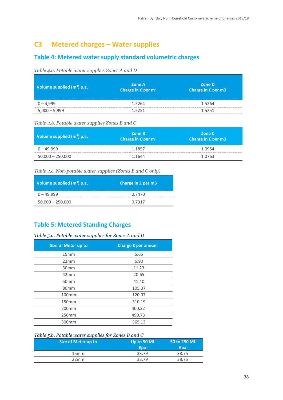### <span id="page-37-0"></span>**C3 Metered charges – Water supplies**

### **Table 4: Metered water supply standard volumetric charges**

#### *Table 4.a. Potable water supplies Zones A and D*

| Volume supplied $(m^3)$ p.a. | <b>Zone A</b><br>Charge in $E$ per m <sup>3</sup> | <b>Zone D</b><br>Charge in £ per m3 |
|------------------------------|---------------------------------------------------|-------------------------------------|
| $0 - 4,999$                  | 1.5264                                            | 1.5264                              |
| $5,000 - 9,999$              | 1.5251                                            | 1.5251                              |

*Table 4.b. Potable water supplies Zones B and C*

| Volume supplied $(m^3)$ p.a. | Zone B<br>Charge in $E$ per $m3$ | <b>Zone C</b><br>Charge in £ per m3 |
|------------------------------|----------------------------------|-------------------------------------|
| 0 – 49,999                   | 1.1857                           | 1.0954                              |
| $50,000 - 250,000$           | 1.1644                           | 1.0763                              |

#### *Table 4.c. Non-potable water supplies (Zones B and C only)*

| Volume supplied $(m^3)$ p.a. | Charge in £ per m3 |
|------------------------------|--------------------|
| $0 - 49.999$                 | 0.7470             |
| $50,000 - 250,000$           | በ 7317             |

### **Table 5: Metered Standing Charges**

#### *Table 5.a. Potable water supplies for Zones A and D*

| <b>Size of Meter up to</b> | <b>Charge £ per annum</b> |
|----------------------------|---------------------------|
| 15mm                       | 5.65                      |
| 22mm                       | 6.90                      |
| 30 <sub>mm</sub>           | 11.23                     |
| 42mm                       | 20.65                     |
| 50 <sub>mm</sub>           | 41.40                     |
| 80 <sub>mm</sub>           | 105.37                    |
| 100 <sub>mm</sub>          | 120.97                    |
| 150mm                      | 310.19                    |
| 200 <sub>mm</sub>          | 400.32                    |
| 250mm                      | 490.73                    |
| 300mm                      | 565.13                    |

#### *Table 5.b. Potable water supplies for Zones B and C*

| Size of Meter up to | Up to 50 MI<br>`na | 50 to 250 MI<br>na |
|---------------------|--------------------|--------------------|
| 15mm                |                    |                    |
| 22mm                |                    |                    |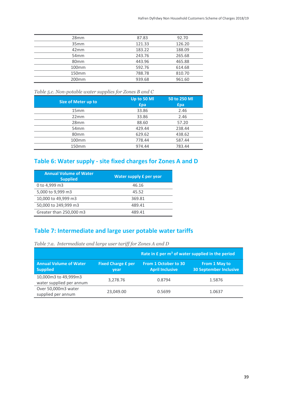| 28mm              | 8783   | 92.70   |
|-------------------|--------|---------|
| 35mm              | 12133  | 126 20  |
| 42mm              | 183.22 | 88 N9   |
| 54mm              | 243.76 | 265 R.R |
| ՋՈmm              | 443 96 |         |
| 100 <sub>mm</sub> | 592.76 | 614 68  |
| 150mm             | 788 78 |         |
|                   |        |         |
|                   |        |         |

*Table 5.c. Non-potable water supplies for Zones B and C*

| Size of Meter up to | Up to 50 MI<br>£pa              | 50 to 250 MI<br>ina              |
|---------------------|---------------------------------|----------------------------------|
| 15mm                | 33.86<br>---------------------- | 2 46                             |
| 22mm                | 33.86                           | 2 AR                             |
| 28 <sub>mm</sub>    |                                 | 57 20                            |
| 54mm                | 429 AA                          | 238 44                           |
| 80 <sub>mm</sub>    | 629 62                          | 38 R2<br>----------------------- |
| $100$ mm            | 778.44                          | 587.44                           |
| 150mm               |                                 | 83 AA                            |

### **Table 6: Water supply - site fixed charges for Zones A and D**

| <b>Annual Volume of Water</b><br><b>Supplied</b> | Water supply £ per year |
|--------------------------------------------------|-------------------------|
| 0 to 4.999 m3                                    | 46 16                   |
| 5,000 to 9,999 m3                                | 45.52                   |
| 10,000 to 49,999 m3                              | 369.81                  |
| 50,000 to 249,999 m3                             | 489 41                  |
| Greater than 250,000 m3                          | 489 41                  |

### **Table 7: Intermediate and large user potable water tariffs**

*Table 7.a. Intermediate and large user tariff for Zones A and D*

|                                                  |                                   | Rate in $E$ per $m3$ of water supplied in the period |                                                |
|--------------------------------------------------|-----------------------------------|------------------------------------------------------|------------------------------------------------|
| <b>Annual Volume of Water</b><br><b>Supplied</b> | <b>Fixed Charge £ per</b><br>vear | From 1 October to 30<br><b>April Inclusive</b>       | From 1 May to<br><b>30 September Inclusive</b> |
| 10,000m3 to 49,999m3<br>water supplied per annum | 3,278.76                          | 0.8794                                               | 1.5876                                         |
| Over 50,000m3 water<br>supplied per annum        | 23,049.00                         | በ 5699                                               | 1.0637                                         |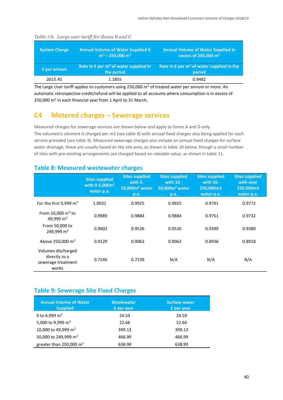| <b>System Charge</b> | <b>Annual Volume of Water Supplied 0</b><br>$m^3 - 250,000 m^3$ | <b>Annual Volume of Water Supplied in</b><br>excess of 250,000 m <sup>3</sup> |
|----------------------|-----------------------------------------------------------------|-------------------------------------------------------------------------------|
| <b>£</b> per annum   | Rate in $E$ per $m3$ of water supplied in<br>the period         | Rate in $E$ per $m^3$ of water supplied in the<br>period                      |
| 2615.45              | 1.1855                                                          | 0.9482                                                                        |

#### *Table 7.b. Large user tariff for Zones B and C*

The Large User tariff applies to customers using 250,000  $m<sup>3</sup>$  of treated water per annum or more. An automatic retrospective credit/refund will be applied to all accounts where consumption is in excess of 250,000 m<sup>3</sup> in each financial year from 1 April to 31 March.

### <span id="page-39-0"></span>**C4 Metered charges – Sewerage services**

Measured charges for sewerage services are shown below and apply to Zones A and D only. The volumetric element is charged per m3 (see table 8) with annual fixed charges also being applied for each service provided (see table 9). Measured sewerage charges also include an annual fixed charges for surface water drainage, these are usually based on the site area, as shown in table 10 below, though a small number of sites with pre-existing arrangements are charged based on rateable value, as shown in table 11.

#### **Table 8: Measured wastewater charges**

|                                                                    | <b>Sites supplied</b><br>with $0 - 5,000m^3$<br>water p.a. | <b>Sites supplied</b><br>with $5-$<br>$10,000m3$ water<br>p.a. | <b>Sites supplied</b><br>with 10 -<br>$50,000m3$ water<br>p.a. | <b>Sites supplied</b><br>with $50-$<br>250,000m3<br>water p.a. | <b>Sites supplied</b><br>with over<br>250,000m3<br>water p.a. |
|--------------------------------------------------------------------|------------------------------------------------------------|----------------------------------------------------------------|----------------------------------------------------------------|----------------------------------------------------------------|---------------------------------------------------------------|
| For the first 9,999 $m3$                                           | 1.0031                                                     | 0.9925                                                         | 0.9925                                                         | 0.9791                                                         | 0.9772                                                        |
| From $10,000 \text{ m}^3$ to<br>49,999 m <sup>3</sup>              | 0.9989                                                     | 0.9884                                                         | 0.9884                                                         | 0.9751                                                         | 0.9732                                                        |
| From 50,000 to<br>249,999 m <sup>3</sup>                           | 0.9602                                                     | 0.9526                                                         | 0.9526                                                         | 0.9399                                                         | 0.9380                                                        |
| Above 250,000 $\text{m}^3$                                         | 0.9129                                                     | 0.9062                                                         | 0.9062                                                         | 0.8936                                                         | 0.8918                                                        |
| Volumes discharged<br>directly to a<br>sewerage treatment<br>works | 0.7246                                                     | 0.7239                                                         | N/A                                                            | N/A                                                            | N/A                                                           |

### **Table 9: Sewerage Site Fixed Charges**

| <b>Annual Volume of Water</b><br><b>Supplied</b> | <b>Wastewater</b><br><b>£</b> per year | <b>Surface water</b><br><b>£</b> per year |
|--------------------------------------------------|----------------------------------------|-------------------------------------------|
| 0 to 4,999 $m3$                                  | 24.59                                  | 24.59                                     |
| 5,000 to 9,999 m <sup>3</sup>                    | 22.66                                  | 22.66                                     |
| 10,000 to 49,999 m <sup>3</sup>                  | 399.13                                 | 399.13                                    |
| 50,000 to 249,999 m <sup>3</sup>                 | 466.99                                 | 466.99                                    |
| greater than 250,000 $m3$                        | 638.99                                 | 638.99                                    |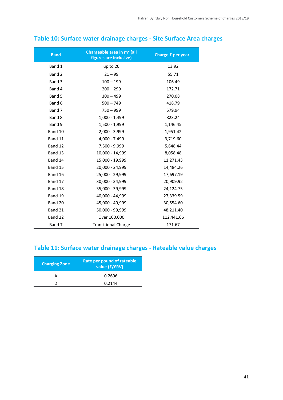| <b>Band</b>   | Chargeable area in m <sup>2</sup> (all<br>figures are inclusive) | Charge £ per year |
|---------------|------------------------------------------------------------------|-------------------|
| Band 1        | up to 20                                                         | 13.92             |
| Band 2        | $21 - 99$                                                        | 55.71             |
| Band 3        | $100 - 199$                                                      | 106.49            |
| Band 4        | $200 - 299$                                                      | 172.71            |
| Band 5        | $300 - 499$                                                      | 270.08            |
| Band 6        | $500 - 749$                                                      | 418.79            |
| Band 7        | $750 - 999$                                                      | 579.94            |
| Band 8        | $1,000 - 1,499$                                                  | 823.24            |
| Band 9        | 1,500 - 1,999                                                    | 1,146.45          |
| Band 10       | 2,000 - 3,999                                                    | 1,951.42          |
| Band 11       | 4,000 - 7,499                                                    | 3,719.60          |
| Band 12       | 7,500 - 9,999                                                    | 5,648.44          |
| Band 13       | 10,000 - 14,999                                                  | 8,058.48          |
| Band 14       | 15,000 - 19,999                                                  | 11,271.43         |
| Band 15       | 20,000 - 24,999                                                  | 14,484.26         |
| Band 16       | 25,000 - 29,999                                                  | 17,697.19         |
| Band 17       | 30,000 - 34,999                                                  | 20,909.92         |
| Band 18       | 35,000 - 39,999                                                  | 24,124.75         |
| Band 19       | 40,000 - 44,999                                                  | 27,339.59         |
| Band 20       | 45,000 - 49,999                                                  | 30,554.60         |
| Band 21       | 50,000 - 99,999                                                  | 48,211.40         |
| Band 22       | Over 100,000                                                     | 112,441.66        |
| <b>Band T</b> | <b>Transitional Charge</b>                                       | 171.67            |

### **Table 10: Surface water drainage charges - Site Surface Area charges**

### **Table 11: Surface water drainage charges - Rateable value charges**

| <b>Charging Zone</b> | Rate per pound of rateable<br>value (£/£RV) |
|----------------------|---------------------------------------------|
|                      | 0.2696                                      |
|                      | 0.2144                                      |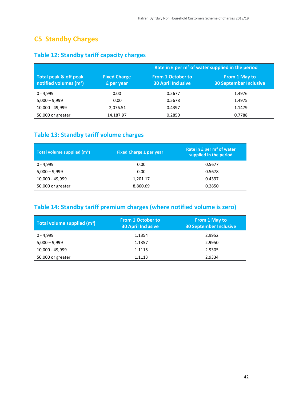### <span id="page-41-0"></span>**C5 Standby Charges**

|                                                   |                                   | Rate in £ per m <sup>3</sup> of water supplied in the period |                                                |  |
|---------------------------------------------------|-----------------------------------|--------------------------------------------------------------|------------------------------------------------|--|
| Total peak & off peak<br>notified volumes $(m^3)$ | <b>Fixed Charge</b><br>£ per year | <b>From 1 October to</b><br><b>30 April Inclusive</b>        | From 1 May to<br><b>30 September Inclusive</b> |  |
| $0 - 4.999$                                       | 0.00                              | 0.5677                                                       | 1.4976                                         |  |
| $5,000 - 9,999$                                   | 0.00                              | 0.5678                                                       | 1.4975                                         |  |
| 10,000 - 49,999                                   | 2,076.51                          | 0.4397                                                       | 1.1479                                         |  |
| 50,000 or greater                                 | 14,187.97                         | 0.2850                                                       | 0.7788                                         |  |

### **Table 12: Standby tariff capacity charges**

### **Table 13: Standby tariff volume charges**

| Total volume supplied $(m^3)$ | <b>Fixed Charge £ per year</b> | Rate in $E$ per $m3$ of water<br>supplied in the period |
|-------------------------------|--------------------------------|---------------------------------------------------------|
| $0 - 4.999$                   | 0.00                           | 0.5677                                                  |
| $5,000 - 9,999$               | 0.00                           | 0.5678                                                  |
| 10,000 - 49,999               | 1,201.17                       | 0.4397                                                  |
| 50,000 or greater             | 8,860.69                       | 0.2850                                                  |

### **Table 14: Standby tariff premium charges (where notified volume is zero)**

| Total volume supplied $(m^3)$ | <b>From 1 October to</b><br><b>30 April Inclusive</b> | From 1 May to<br><b>30 September Inclusive</b> |
|-------------------------------|-------------------------------------------------------|------------------------------------------------|
| 0 - 4,999                     | 1.1354                                                | 2.9952                                         |
| $5,000 - 9,999$               | 1.1357                                                | 2.9950                                         |
| 10,000 - 49,999               | 1.1115                                                | 2.9305                                         |
| 50,000 or greater             | 1.1113                                                | 2.9334                                         |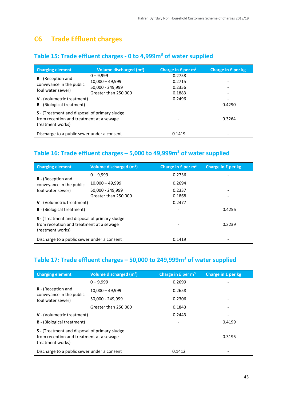### <span id="page-42-0"></span>**C6 Trade Effluent charges**

### **Table 15: Trade effluent charges - 0 to 4,999m<sup>3</sup> of water supplied**

| <b>Charging element</b>                                                                                       | Volume discharged $(m^3)$ | Charge in $E$ per $m3$   | Charge in £ per kg       |
|---------------------------------------------------------------------------------------------------------------|---------------------------|--------------------------|--------------------------|
|                                                                                                               | $0 - 9.999$               | 0.2758                   | $\overline{\phantom{0}}$ |
| <b>R</b> - (Reception and                                                                                     | $10,000 - 49,999$         | 0.2715                   |                          |
| conveyance in the public                                                                                      | 50,000 - 249,999          | 0.2356                   | $\overline{\phantom{0}}$ |
| foul water sewer)                                                                                             | Greater than 250,000      | 0.1883                   | -                        |
| V - (Volumetric treatment)                                                                                    |                           | 0.2496                   |                          |
| <b>B</b> - (Biological treatment)                                                                             |                           | $\overline{\phantom{a}}$ | 0.4290                   |
| S - (Treatment and disposal of primary sludge<br>from reception and treatment at a sewage<br>treatment works) |                           |                          | 0.3264                   |
| Discharge to a public sewer under a consent                                                                   |                           | 0.1419                   |                          |

### **Table 16: Trade effluent charges – 5,000 to 49,999m<sup>3</sup> of water supplied**

| <b>Charging element</b>                                                                                       | Volume discharged $(m^3)$ | Charge in $f$ per $m3$ | Charge in £ per kg |
|---------------------------------------------------------------------------------------------------------------|---------------------------|------------------------|--------------------|
|                                                                                                               | $0 - 9.999$               | 0.2736                 |                    |
| <b>R</b> - (Reception and<br>conveyance in the public                                                         | $10,000 - 49,999$         | 0.2694                 |                    |
| foul water sewer)                                                                                             | 50,000 - 249,999          | 0.2337                 |                    |
|                                                                                                               | Greater than 250,000      | 0.1868                 |                    |
| V - (Volumetric treatment)                                                                                    |                           | 0.2477                 |                    |
| <b>B</b> - (Biological treatment)                                                                             |                           |                        | 0.4256             |
| S - (Treatment and disposal of primary sludge<br>from reception and treatment at a sewage<br>treatment works) |                           |                        | 0.3239             |
| Discharge to a public sewer under a consent                                                                   |                           | 0.1419                 |                    |

### **Table 17: Trade effluent charges – 50,000 to 249,999m<sup>3</sup> of water supplied**

| <b>Charging element</b>                                                                                       | Volume discharged (m <sup>3</sup> ) | Charge in $E$ per $m3$ | Charge in £ per kg |
|---------------------------------------------------------------------------------------------------------------|-------------------------------------|------------------------|--------------------|
|                                                                                                               | $0 - 9.999$                         | 0.2699                 |                    |
| <b>R</b> - (Reception and                                                                                     | $10,000 - 49,999$                   | 0.2658                 |                    |
| conveyance in the public<br>foul water sewer)                                                                 | 50,000 - 249,999                    | 0.2306                 |                    |
|                                                                                                               | Greater than 250,000                | 0.1843                 |                    |
| V - (Volumetric treatment)                                                                                    |                                     | 0.2443                 |                    |
| <b>B</b> - (Biological treatment)                                                                             |                                     |                        | 0.4199             |
| S - (Treatment and disposal of primary sludge<br>from reception and treatment at a sewage<br>treatment works) |                                     |                        | 0.3195             |
| Discharge to a public sewer under a consent                                                                   |                                     | 0.1412                 |                    |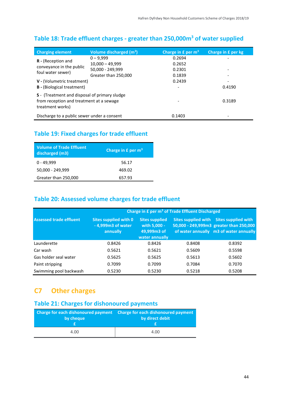| <b>Charging element</b>                                                                                       | Volume discharged (m <sup>3</sup> ) | Charge in $E$ per $m3$ | Charge in £ per kg       |
|---------------------------------------------------------------------------------------------------------------|-------------------------------------|------------------------|--------------------------|
| <b>R</b> - (Reception and                                                                                     | $0 - 9.999$                         | 0.2694                 | -                        |
| conveyance in the public                                                                                      | $10,000 - 49,999$                   | 0.2652                 |                          |
| foul water sewer)                                                                                             | 50,000 - 249,999                    | 0.2301                 | $\overline{\phantom{a}}$ |
|                                                                                                               | Greater than 250,000                | 0.1839                 |                          |
| <b>V</b> - (Volumetric treatment)                                                                             |                                     | 0.2439                 |                          |
| <b>B</b> - (Biological treatment)                                                                             |                                     |                        | 0.4190                   |
| S - (Treatment and disposal of primary sludge<br>from reception and treatment at a sewage<br>treatment works) |                                     |                        | 0.3189                   |
| Discharge to a public sewer under a consent                                                                   |                                     | 0.1403                 |                          |

### **Table 18: Trade effluent charges - greater than 250,000m<sup>3</sup> of water supplied**

### **Table 19: Fixed charges for trade effluent**

| <b>Volume of Trade Effluent</b><br>discharged (m3) | Charge in $E$ per $m3$ |
|----------------------------------------------------|------------------------|
| $0 - 49,999$                                       | 56.17                  |
| 50,000 - 249,999                                   | 469.02                 |
| Greater than 250,000                               | 657.93                 |

### **Table 20: Assessed volume charges for trade effluent**

|                                | Charge in £ per m <sup>3</sup> of Trade Effluent Discharged |                                                                        |                            |                                                                                                          |
|--------------------------------|-------------------------------------------------------------|------------------------------------------------------------------------|----------------------------|----------------------------------------------------------------------------------------------------------|
| <b>Assessed trade effluent</b> | Sites supplied with 0<br>- 4,999m3 of water<br>annually     | <b>Sites supplied</b><br>with 5,000 -<br>49,999m3 of<br>water annually | <b>Sites supplied with</b> | Sites supplied with<br>50,000 - 249,999m3 greater than 250,000<br>of water annually m3 of water annually |
| Launderette                    | 0.8426                                                      | 0.8426                                                                 | 0.8408                     | 0.8392                                                                                                   |
| Car wash                       | 0.5621                                                      | 0.5621                                                                 | 0.5609                     | 0.5598                                                                                                   |
| Gas holder seal water          | 0.5625                                                      | 0.5625                                                                 | 0.5613                     | 0.5602                                                                                                   |
| Paint stripping                | 0.7099                                                      | 0.7099                                                                 | 0.7084                     | 0.7070                                                                                                   |
| Swimming pool backwash         | 0.5230                                                      | 0.5230                                                                 | 0.5218                     | 0.5208                                                                                                   |

### <span id="page-43-0"></span>**C7 Other charges**

### **Table 21: Charges for dishonoured payments**

| by cheque | Charge for each dishonoured payment Charge for each dishonoured payment<br>by direct debit |  |
|-----------|--------------------------------------------------------------------------------------------|--|
| 4.00      | 4.00                                                                                       |  |